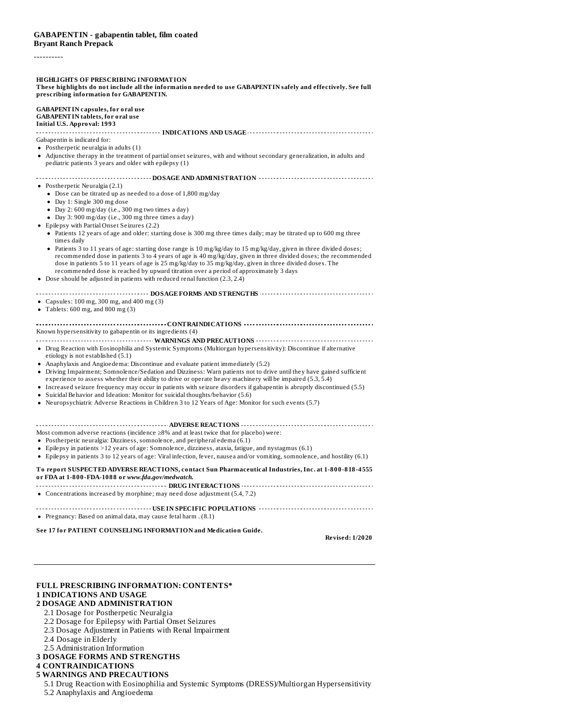#### ----------

**HIGHLIGHTS OF PRESCRIBING INFORMATION** These highlights do not include all the information needed to use GABAPENTIN safely and effectively. See full **prescribing information for GABAPENTIN. GABAPENTIN capsules, for oral use GABAPENTIN tablets, for oral use Initial U.S. Approval: 1993 INDICATIONS AND USAGE** Gabapentin is indicated for: • Postherpetic neuralgia in adults (1) Adjunctive therapy in the treatment of partial onset seizures, with and without secondary generalization, in adults and pediatric patients 3 years and older with epilepsy (1) **DOSAGE AND ADMINISTRATION** Postherpetic Neuralgia (2.1) Dose can be titrated up as needed to a dose of 1,800 mg/day Day 1: Single 300 mg dose Day 2: 600 mg/day (i.e., 300 mg two times a day) Day 3: 900 mg/day (i.e., 300 mg three times a day) Epilepsy with Partial Onset Seizures (2.2) Patients 12 years of age and older: starting dose is 300 mg three times daily; may be titrated up to 600 mg three times daily Patients 3 to 11 years of age: starting dose range is 10 mg/kg/day to 15 mg/kg/day, given in three divided doses; recommended dose in patients 3 to 4 years of age is 40 mg/kg/day, given in three divided doses; the recommended dose in patients 5 to 11 years of age is 25 mg/kg/day to 35 mg/kg/day, given in three divided doses. The recommended dose is reached by upward titration over a period of approximately 3 days Dose should be adjusted in patients with reduced renal function (2.3, 2.4) **DOSAGE FORMS AND STRENGTHS** Capsules: 100 mg, 300 mg, and 400 mg (3) • Tablets:  $600 \text{ mg}$ , and  $800 \text{ mg}$  (3) **CONTRAINDICATIONS** Known hypersensitivity to gabapentin or its ingredients (4) **WARNINGS AND PRECAUTIONS** Drug Reaction with Eosinophilia and Systemic Symptoms (Multiorgan hypersensitivity): Discontinue if alternative etiology is not established (5.1) Anaphylaxis and Angioedema: Discontinue and evaluate patient immediately (5.2) Driving Impairment; Somnolence/Sedation and Dizziness: Warn patients not to drive until they have gained sufficient experience to assess whether their ability to drive or operate heavy machinery will be impaired (5.3, 5.4) Increased seizure frequency may occur in patients with seizure disorders if gabapentin is abruptly discontinued (5.5) • Suicidal Behavior and Ideation: Monitor for suicidal thoughts/behavior (5.6) Neuropsychiatric Adverse Reactions in Children 3 to 12 Years of Age: Monitor for such events (5.7) **ADVERSE REACTIONS** Most common adverse reactions (incidence ≥8% and at least twice that for placebo) were: Postherpetic neuralgia: Dizziness, somnolence, and peripheral edema (6.1)  $\bullet$  Epilepsy in patients  $>12$  years of age: Somnolence, dizziness, ataxia, fatigue, and nystagmus (6.1) Epilepsy in patients 3 to 12 years of age: Viral infection, fever, nausea and/or vomiting, somnolence, and hostility (6.1) **To report SUSPECTED ADVERSE REACTIONS, contact Sun Pharmaceutical Industries, Inc. at 1-800-818-4555 or FDA at 1-800-FDA-1088 or** *www.fda.gov/medwatch.* **DRUG INTERACTIONS** Concentrations increased by morphine; may need dose adjustment (5.4, 7.2) **USE IN SPECIFIC POPULATIONS** *CONSIDERATIONS* Pregnancy: Based on animal data, may cause fetal harm . (8.1) **See 17 for PATIENT COUNSELING INFORMATION and Medication Guide.**

**Revised: 1/2020**

# **FULL PRESCRIBING INFORMATION: CONTENTS\***

# **1 INDICATIONS AND USAGE**

# **2 DOSAGE AND ADMINISTRATION**

- 2.1 Dosage for Postherpetic Neuralgia
- 2.2 Dosage for Epilepsy with Partial Onset Seizures
- 2.3 Dosage Adjustment in Patients with Renal Impairment
- 2.4 Dosage in Elderly
- 2.5 Administration Information

#### **3 DOSAGE FORMS AND STRENGTHS**

### **4 CONTRAINDICATIONS**

### **5 WARNINGS AND PRECAUTIONS**

- 5.1 Drug Reaction with Eosinophilia and Systemic Symptoms (DRESS)/Multiorgan Hypersensitivity
- 5.2 Anaphylaxis and Angioedema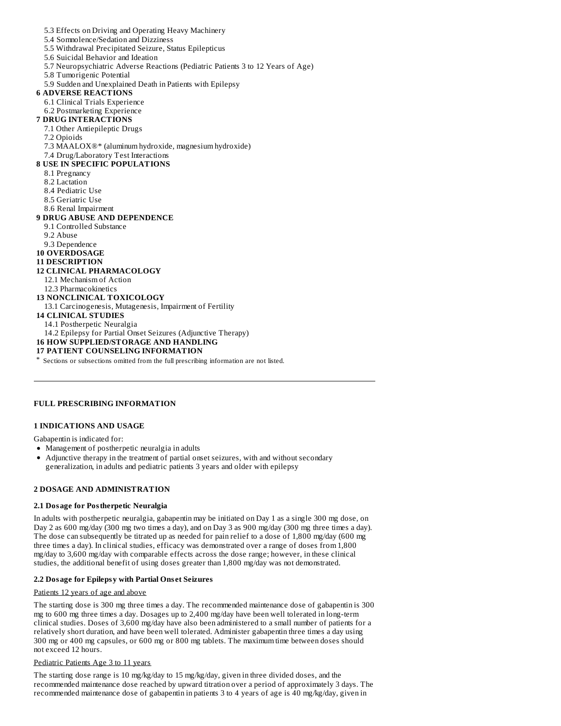5.3 Effects on Driving and Operating Heavy Machinery 5.4 Somnolence/Sedation and Dizziness 5.5 Withdrawal Precipitated Seizure, Status Epilepticus 5.6 Suicidal Behavior and Ideation 5.7 Neuropsychiatric Adverse Reactions (Pediatric Patients 3 to 12 Years of Age) 5.8 Tumorigenic Potential 5.9 Sudden and Unexplained Death in Patients with Epilepsy **6 ADVERSE REACTIONS** 6.1 Clinical Trials Experience 6.2 Postmarketing Experience **7 DRUG INTERACTIONS** 7.1 Other Antiepileptic Drugs 7.2 Opioids 7.3 MAALOX®\* (aluminum hydroxide, magnesium hydroxide) 7.4 Drug/Laboratory Test Interactions **8 USE IN SPECIFIC POPULATIONS** 8.1 Pregnancy 8.2 Lactation 8.4 Pediatric Use 8.5 Geriatric Use 8.6 Renal Impairment **9 DRUG ABUSE AND DEPENDENCE** 9.1 Controlled Substance 9.2 Abuse 9.3 Dependence **10 OVERDOSAGE 11 DESCRIPTION 12 CLINICAL PHARMACOLOGY** 12.1 Mechanism of Action 12.3 Pharmacokinetics **13 NONCLINICAL TOXICOLOGY** 13.1 Carcinogenesis, Mutagenesis, Impairment of Fertility **14 CLINICAL STUDIES** 14.1 Postherpetic Neuralgia 14.2 Epilepsy for Partial Onset Seizures (Adjunctive Therapy) **16 HOW SUPPLIED/STORAGE AND HANDLING 17 PATIENT COUNSELING INFORMATION** \* Sections or subsections omitted from the full prescribing information are not listed.

# **FULL PRESCRIBING INFORMATION**

# **1 INDICATIONS AND USAGE**

Gabapentin is indicated for:

- Management of postherpetic neuralgia in adults
- Adjunctive therapy in the treatment of partial onset seizures, with and without secondary generalization, in adults and pediatric patients 3 years and older with epilepsy

# **2 DOSAGE AND ADMINISTRATION**

#### **2.1 Dosage for Postherpetic Neuralgia**

In adults with postherpetic neuralgia, gabapentin may be initiated on Day 1 as a single 300 mg dose, on Day 2 as 600 mg/day (300 mg two times a day), and on Day 3 as 900 mg/day (300 mg three times a day). The dose can subsequently be titrated up as needed for pain relief to a dose of 1,800 mg/day (600 mg three times a day). In clinical studies, efficacy was demonstrated over a range of doses from 1,800 mg/day to 3,600 mg/day with comparable effects across the dose range; however, in these clinical studies, the additional benefit of using doses greater than 1,800 mg/day was not demonstrated.

# **2.2 Dosage for Epilepsy with Partial Ons et Seizures**

#### Patients 12 years of age and above

The starting dose is 300 mg three times a day. The recommended maintenance dose of gabapentin is 300 mg to 600 mg three times a day. Dosages up to 2,400 mg/day have been well tolerated in long-term clinical studies. Doses of 3,600 mg/day have also been administered to a small number of patients for a relatively short duration, and have been well tolerated. Administer gabapentin three times a day using 300 mg or 400 mg capsules, or 600 mg or 800 mg tablets. The maximum time between doses should not exceed 12 hours.

#### Pediatric Patients Age 3 to 11 years

The starting dose range is 10 mg/kg/day to 15 mg/kg/day, given in three divided doses, and the recommended maintenance dose reached by upward titration over a period of approximately 3 days. The recommended maintenance dose of gabapentin in patients 3 to 4 years of age is 40 mg/kg/day, given in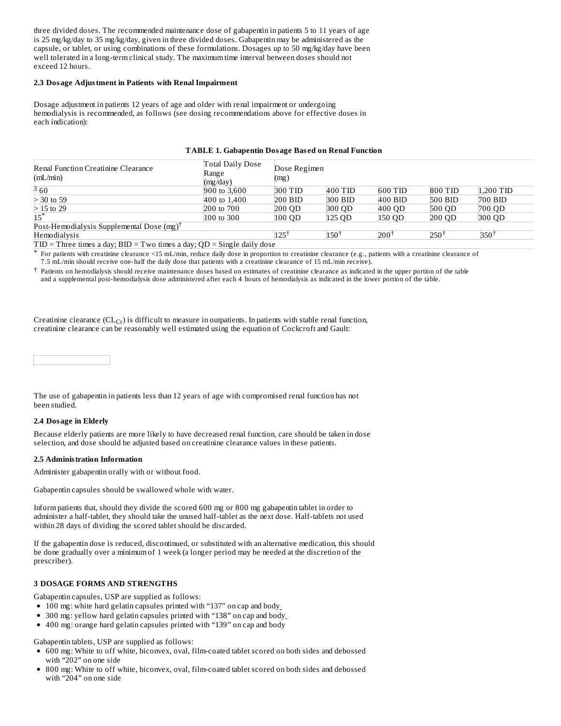three divided doses. The recommended maintenance dose of gabapentin in patients 5 to 11 years of age is 25 mg/kg/day to 35 mg/kg/day, given in three divided doses. Gabapentin may be administered as the capsule, or tablet, or using combinations of these formulations. Dosages up to 50 mg/kg/day have been well tolerated in a long-term clinical study. The maximum time interval between doses should not exceed 12 hours.

#### **2.3 Dosage Adjustment in Patients with Renal Impairment**

Dosage adjustment in patients 12 years of age and older with renal impairment or undergoing hemodialysis is recommended, as follows (see dosing recommendations above for effective doses in each indication):

| Renal Function Creatinine Clearance<br>mL/min                                | Total Daily Dose<br>Range<br>(mg/day) | Dose Regimen<br>(mg) |           |                  |                 |           |
|------------------------------------------------------------------------------|---------------------------------------|----------------------|-----------|------------------|-----------------|-----------|
| 360                                                                          | 900 to 3,600                          | 300 TID              | 400 TID   | 600 TID          | 800 TID         | 1,200 TID |
| $>$ 30 to 59                                                                 | 400 to 1,400                          | $200$ BID            | $300$ BID | 400 BID          | 500 BID         | $700$ BID |
| $>15$ to 29                                                                  | 200 to 700                            | 200 OD               | 300 QD    | 400 QD           | 500 QD          | 700 QD    |
| $15^*$                                                                       | 100 to 300                            | $100$ QD             | 125 QD    | 150 QD           | $200$ QD        | 300 OD    |
| Post-Hemodialysis Supplemental Dose $(mg)^T$                                 |                                       |                      |           |                  |                 |           |
| Hemodialysis                                                                 |                                       | 125                  | $150^+$   | 200 <sup>1</sup> | $250^{\dagger}$ | 350†      |
| $TID$ = Three times a day; $BID$ = Two times a day; $OD$ = Single daily dose |                                       |                      |           |                  |                 |           |

# **TABLE 1. Gabapentin Dosage Bas ed on Renal Function**

\* For patients with creatinine clearance <15 mL/min, reduce daily dose in proportion to creatinine clearance (e.g., patients with a creatinine clearance of

7.5 mL/min should receive one-half the daily dose that patients with a creatinine clearance of 15 mL/min receive).

† Patients on hemodialysis should receive maintenance doses based on estimates of creatinine clearance as indicated in the upper portion of the table and a supplemental post-hemodialysis dose administered after each 4 hours of hemodialysis as indicated in the lower portion of the table.

Creatinine clearance  $(CL_{Cr})$  is difficult to measure in outpatients. In patients with stable renal function, creatinine clearance can be reasonably well estimated using the equation of Cockcroft and Gault:

The use of gabapentin in patients less than 12 years of age with compromised renal function has not been studied.

# **2.4 Dosage in Elderly**

Because elderly patients are more likely to have decreased renal function, care should be taken in dose selection, and dose should be adjusted based on creatinine clearance values in these patients.

#### **2.5 Administration Information**

Administer gabapentin orally with or without food.

Gabapentin capsules should be swallowed whole with water.

Inform patients that, should they divide the scored 600 mg or 800 mg gabapentin tablet in order to administer a half-tablet, they should take the unused half-tablet as the next dose. Half-tablets not used within 28 days of dividing the scored tablet should be discarded.

If the gabapentin dose is reduced, discontinued, or substituted with an alternative medication, this should be done gradually over a minimum of 1 week (a longer period may be needed at the discretion of the prescriber).

#### **3 DOSAGE FORMS AND STRENGTHS**

Gabapentin capsules, USP are supplied as follows:

- 100 mg: white hard gelatin capsules printed with "137" on cap and body
- 300 mg: yellow hard gelatin capsules printed with "138" on cap and body
- 400 mg: orange hard gelatin capsules printed with "139" on cap and body

Gabapentin tablets, USP are supplied as follows:

- 600 mg: White to off white, biconvex, oval, film-coated tablet scored on both sides and debossed with "202" on one side
- 800 mg: White to off white, biconvex, oval, film-coated tablet scored on both sides and debossed with "204" on one side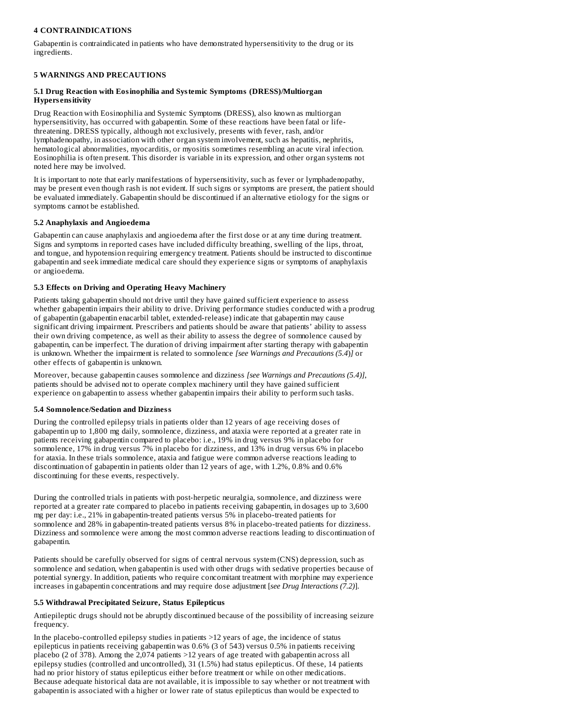# **4 CONTRAINDICATIONS**

Gabapentin is contraindicated in patients who have demonstrated hypersensitivity to the drug or its ingredients.

# **5 WARNINGS AND PRECAUTIONS**

# **5.1 Drug Reaction with Eosinophilia and Systemic Symptoms (DRESS)/Multiorgan Hypers ensitivity**

Drug Reaction with Eosinophilia and Systemic Symptoms (DRESS), also known as multiorgan hypersensitivity, has occurred with gabapentin. Some of these reactions have been fatal or lifethreatening. DRESS typically, although not exclusively, presents with fever, rash, and/or lymphadenopathy, in association with other organ system involvement, such as hepatitis, nephritis, hematological abnormalities, myocarditis, or myositis sometimes resembling an acute viral infection. Eosinophilia is often present. This disorder is variable in its expression, and other organ systems not noted here may be involved.

It is important to note that early manifestations of hypersensitivity, such as fever or lymphadenopathy, may be present even though rash is not evident. If such signs or symptoms are present, the patient should be evaluated immediately. Gabapentin should be discontinued if an alternative etiology for the signs or symptoms cannot be established.

# **5.2 Anaphylaxis and Angioedema**

Gabapentin can cause anaphylaxis and angioedema after the first dose or at any time during treatment. Signs and symptoms in reported cases have included difficulty breathing, swelling of the lips, throat, and tongue, and hypotension requiring emergency treatment. Patients should be instructed to discontinue gabapentin and seek immediate medical care should they experience signs or symptoms of anaphylaxis or angioedema.

# **5.3 Effects on Driving and Operating Heavy Machinery**

Patients taking gabapentin should not drive until they have gained sufficient experience to assess whether gabapentin impairs their ability to drive. Driving performance studies conducted with a prodrug of gabapentin (gabapentin enacarbil tablet, extended-release) indicate that gabapentin may cause significant driving impairment. Prescribers and patients should be aware that patients' ability to assess their own driving competence, as well as their ability to assess the degree of somnolence caused by gabapentin, can be imperfect. The duration of driving impairment after starting therapy with gabapentin is unknown. Whether the impairment is related to somnolence *[see Warnings and Precautions (5.4*)*]* or other effects of gabapentin is unknown.

Moreover, because gabapentin causes somnolence and dizziness *[see Warnings and Precautions (5.4)]*, patients should be advised not to operate complex machinery until they have gained sufficient experience on gabapentin to assess whether gabapentin impairs their ability to perform such tasks.

# **5.4 Somnolence/Sedation and Dizziness**

During the controlled epilepsy trials in patients older than 12 years of age receiving doses of gabapentin up to 1,800 mg daily, somnolence, dizziness, and ataxia were reported at a greater rate in patients receiving gabapentin compared to placebo: i.e., 19% in drug versus 9% in placebo for somnolence, 17% in drug versus 7% in placebo for dizziness, and 13% in drug versus 6% in placebo for ataxia. In these trials somnolence, ataxia and fatigue were common adverse reactions leading to discontinuation of gabapentin in patients older than 12 years of age, with 1.2%, 0.8% and 0.6% discontinuing for these events, respectively.

During the controlled trials in patients with post-herpetic neuralgia, somnolence, and dizziness were reported at a greater rate compared to placebo in patients receiving gabapentin, in dosages up to 3,600 mg per day: i.e., 21% in gabapentin-treated patients versus 5% in placebo-treated patients for somnolence and 28% in gabapentin-treated patients versus 8% in placebo-treated patients for dizziness. Dizziness and somnolence were among the most common adverse reactions leading to discontinuation of gabapentin.

Patients should be carefully observed for signs of central nervous system (CNS) depression, such as somnolence and sedation, when gabapentin is used with other drugs with sedative properties because of potential synergy. In addition, patients who require concomitant treatment with morphine may experience increases in gabapentin concentrations and may require dose adjustment [*see Drug Interactions (7.2)*].

# **5.5 Withdrawal Precipitated Seizure, Status Epilepticus**

Antiepileptic drugs should not be abruptly discontinued because of the possibility of increasing seizure frequency.

In the placebo-controlled epilepsy studies in patients >12 years of age, the incidence of status epilepticus in patients receiving gabapentin was 0.6% (3 of 543) versus 0.5% in patients receiving placebo (2 of 378). Among the 2,074 patients >12 years of age treated with gabapentin across all epilepsy studies (controlled and uncontrolled), 31 (1.5%) had status epilepticus. Of these, 14 patients had no prior history of status epilepticus either before treatment or while on other medications. Because adequate historical data are not available, it is impossible to say whether or not treatment with gabapentin is associated with a higher or lower rate of status epilepticus than would be expected to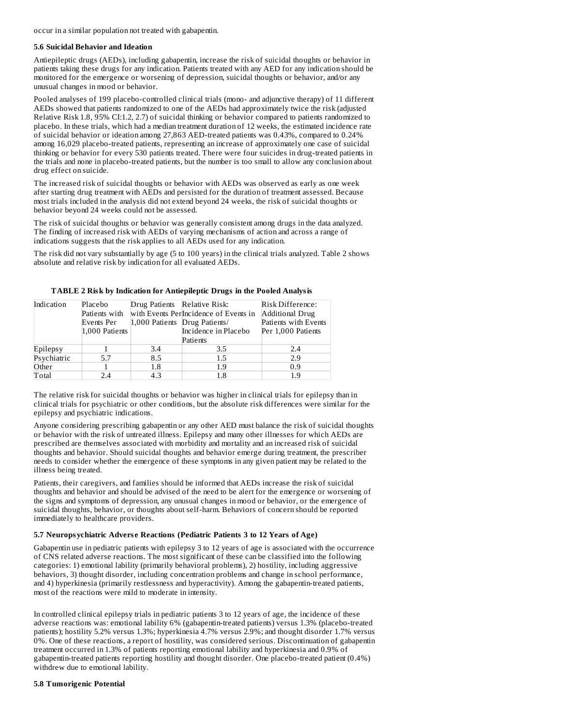occur in a similar population not treated with gabapentin.

#### **5.6 Suicidal Behavior and Ideation**

Antiepileptic drugs (AEDs), including gabapentin, increase the risk of suicidal thoughts or behavior in patients taking these drugs for any indication. Patients treated with any AED for any indication should be monitored for the emergence or worsening of depression, suicidal thoughts or behavior, and/or any unusual changes in mood or behavior.

Pooled analyses of 199 placebo-controlled clinical trials (mono- and adjunctive therapy) of 11 different AEDs showed that patients randomized to one of the AEDs had approximately twice the risk (adjusted Relative Risk 1.8, 95% CI:1.2, 2.7) of suicidal thinking or behavior compared to patients randomized to placebo. In these trials, which had a median treatment duration of 12 weeks, the estimated incidence rate of suicidal behavior or ideation among 27,863 AED-treated patients was 0.43%, compared to 0.24% among 16,029 placebo-treated patients, representing an increase of approximately one case of suicidal thinking or behavior for every 530 patients treated. There were four suicides in drug-treated patients in the trials and none in placebo-treated patients, but the number is too small to allow any conclusion about drug effect on suicide.

The increased risk of suicidal thoughts or behavior with AEDs was observed as early as one week after starting drug treatment with AEDs and persisted for the duration of treatment assessed. Because most trials included in the analysis did not extend beyond 24 weeks, the risk of suicidal thoughts or behavior beyond 24 weeks could not be assessed.

The risk of suicidal thoughts or behavior was generally consistent among drugs in the data analyzed. The finding of increased risk with AEDs of varying mechanisms of action and across a range of indications suggests that the risk applies to all AEDs used for any indication.

The risk did not vary substantially by age (5 to 100 years) in the clinical trials analyzed. Table 2 shows absolute and relative risk by indication for all evaluated AEDs.

| Indication  | Placebo        | Drug Patients Relative Risk:  |                                        | Risk Difference:       |
|-------------|----------------|-------------------------------|----------------------------------------|------------------------|
|             | Patients with  |                               | with Events Perlincidence of Events in | <b>Additional Drug</b> |
|             | Events Per     | 1,000 Patients Drug Patients/ |                                        | Patients with Events   |
|             | 1,000 Patients |                               | Incidence in Placebo                   | Per 1,000 Patients     |
|             |                |                               | Patients                               |                        |
| Epilepsy    |                | 3.4                           | 3.5                                    | 2.4                    |
| Psychiatric | 5.7            | 8.5                           | 1.5                                    | 2.9                    |
| Other       |                | 1.8                           | 1.9                                    | 0.9                    |
| Total       | 2.4            | 4.3                           | 1.8                                    | 1.9                    |

#### **TABLE 2 Risk by Indication for Antiepileptic Drugs in the Pooled Analysis**

The relative risk for suicidal thoughts or behavior was higher in clinical trials for epilepsy than in clinical trials for psychiatric or other conditions, but the absolute risk differences were similar for the epilepsy and psychiatric indications.

Anyone considering prescribing gabapentin or any other AED must balance the risk of suicidal thoughts or behavior with the risk of untreated illness. Epilepsy and many other illnesses for which AEDs are prescribed are themselves associated with morbidity and mortality and an increased risk of suicidal thoughts and behavior. Should suicidal thoughts and behavior emerge during treatment, the prescriber needs to consider whether the emergence of these symptoms in any given patient may be related to the illness being treated.

Patients, their caregivers, and families should be informed that AEDs increase the risk of suicidal thoughts and behavior and should be advised of the need to be alert for the emergence or worsening of the signs and symptoms of depression, any unusual changes in mood or behavior, or the emergence of suicidal thoughts, behavior, or thoughts about self-harm. Behaviors of concern should be reported immediately to healthcare providers.

# **5.7 Neuropsychiatric Advers e Reactions (Pediatric Patients 3 to 12 Years of Age)**

Gabapentin use in pediatric patients with epilepsy 3 to 12 years of age is associated with the occurrence of CNS related adverse reactions. The most significant of these can be classified into the following categories: 1) emotional lability (primarily behavioral problems), 2) hostility, including aggressive behaviors, 3) thought disorder, including concentration problems and change in school performance, and 4) hyperkinesia (primarily restlessness and hyperactivity). Among the gabapentin-treated patients, most of the reactions were mild to moderate in intensity.

In controlled clinical epilepsy trials in pediatric patients 3 to 12 years of age, the incidence of these adverse reactions was: emotional lability 6% (gabapentin-treated patients) versus 1.3% (placebo-treated patients); hostility 5.2% versus 1.3%; hyperkinesia 4.7% versus 2.9%; and thought disorder 1.7% versus 0%. One of these reactions, a report of hostility, was considered serious. Discontinuation of gabapentin treatment occurred in 1.3% of patients reporting emotional lability and hyperkinesia and 0.9% of gabapentin-treated patients reporting hostility and thought disorder. One placebo-treated patient (0.4%) withdrew due to emotional lability.

#### **5.8 Tumorigenic Potential**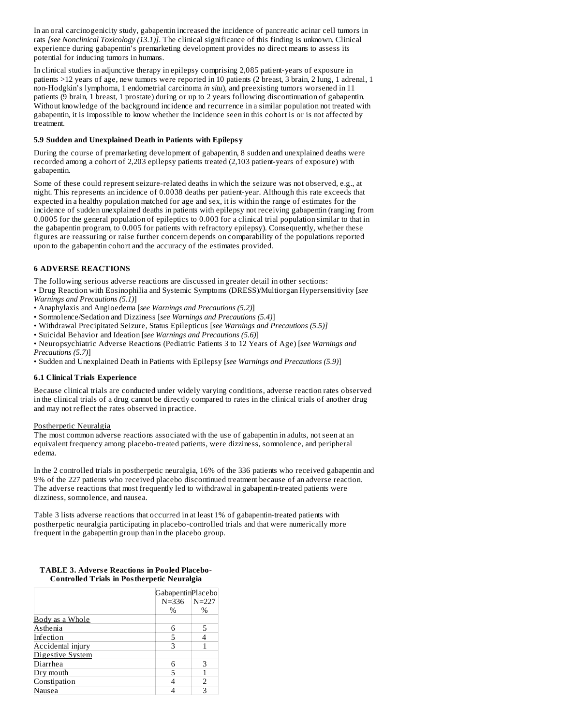In an oral carcinogenicity study, gabapentin increased the incidence of pancreatic acinar cell tumors in rats *[see Nonclinical Toxicology (13.1)]*. The clinical significance of this finding is unknown. Clinical experience during gabapentin's premarketing development provides no direct means to assess its potential for inducing tumors in humans.

In clinical studies in adjunctive therapy in epilepsy comprising 2,085 patient-years of exposure in patients >12 years of age, new tumors were reported in 10 patients (2 breast, 3 brain, 2 lung, 1 adrenal, 1 non-Hodgkin's lymphoma, 1 endometrial carcinoma *in situ*), and preexisting tumors worsened in 11 patients (9 brain, 1 breast, 1 prostate) during or up to 2 years following discontinuation of gabapentin. Without knowledge of the background incidence and recurrence in a similar population not treated with gabapentin, it is impossible to know whether the incidence seen in this cohort is or is not affected by treatment.

# **5.9 Sudden and Unexplained Death in Patients with Epilepsy**

During the course of premarketing development of gabapentin, 8 sudden and unexplained deaths were recorded among a cohort of 2,203 epilepsy patients treated (2,103 patient-years of exposure) with gabapentin.

Some of these could represent seizure-related deaths in which the seizure was not observed, e.g., at night. This represents an incidence of 0.0038 deaths per patient-year. Although this rate exceeds that expected in a healthy population matched for age and sex, it is within the range of estimates for the incidence of sudden unexplained deaths in patients with epilepsy not receiving gabapentin (ranging from 0.0005 for the general population of epileptics to 0.003 for a clinical trial population similar to that in the gabapentin program, to 0.005 for patients with refractory epilepsy). Consequently, whether these figures are reassuring or raise further concern depends on comparability of the populations reported upon to the gabapentin cohort and the accuracy of the estimates provided.

# **6 ADVERSE REACTIONS**

The following serious adverse reactions are discussed in greater detail in other sections:

- Drug Reaction with Eosinophilia and Systemic Symptoms (DRESS)/Multiorgan Hypersensitivity [*see Warnings and Precautions (5.1)*]
- 
- Anaphylaxis and Angioedema [*see Warnings and Precautions (5.2)*] • Somnolence/Sedation and Dizziness [*see Warnings and Precautions (5.4)*]
- Withdrawal Precipitated Seizure, Status Epilepticus [*see Warnings and Precautions (5.5)]*
- Suicidal Behavior and Ideation [*see Warnings and Precautions (5.6)*]
- Neuropsychiatric Adverse Reactions (Pediatric Patients 3 to 12 Years of Age) [*see Warnings and Precautions (5.7)*]
- Sudden and Unexplained Death in Patients with Epilepsy [*see Warnings and Precautions (5.9)*]

# **6.1 Clinical Trials Experience**

Because clinical trials are conducted under widely varying conditions, adverse reaction rates observed in the clinical trials of a drug cannot be directly compared to rates in the clinical trials of another drug and may not reflect the rates observed in practice.

# Postherpetic Neuralgia

The most common adverse reactions associated with the use of gabapentin in adults, not seen at an equivalent frequency among placebo-treated patients, were dizziness, somnolence, and peripheral edema.

In the 2 controlled trials in postherpetic neuralgia, 16% of the 336 patients who received gabapentin and 9% of the 227 patients who received placebo discontinued treatment because of an adverse reaction. The adverse reactions that most frequently led to withdrawal in gabapentin-treated patients were dizziness, somnolence, and nausea.

Table 3 lists adverse reactions that occurred in at least 1% of gabapentin-treated patients with postherpetic neuralgia participating in placebo-controlled trials and that were numerically more frequent in the gabapentin group than in the placebo group.

# **TABLE 3. Advers e Reactions in Pooled Placebo-Controlled Trials in Postherpetic Neuralgia**

|                   | GabapentinPlacebo |           |
|-------------------|-------------------|-----------|
|                   | $N = 336$         | $N = 227$ |
|                   | $\%$              | $\%$      |
| Body as a Whole   |                   |           |
| Asthenia          | 6                 | 5         |
| Infection         | 5                 |           |
| Accidental injury | З                 |           |
| Digestive System  |                   |           |
| Diarrhea          | 6                 | 3         |
| Dry mouth         | 5                 |           |
| Constipation      |                   | 2         |
| lausea            |                   | 3         |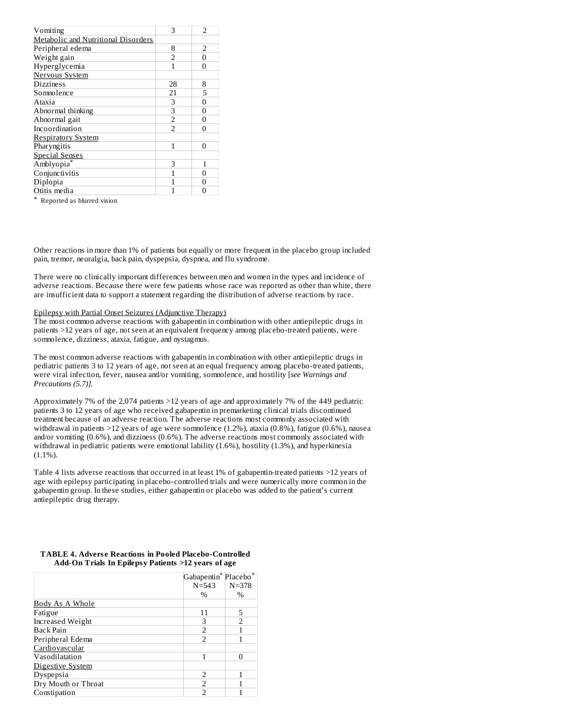| 3                        | $\overline{2}$ |
|--------------------------|----------------|
|                          |                |
| 8                        | 2              |
| $\overline{2}$           | $\Omega$       |
| 1                        | $\Omega$       |
|                          |                |
| 28                       | 8              |
| 21                       | 5              |
| 3                        | $\Omega$       |
| 3                        | $\Omega$       |
| $\overline{2}$           | 0              |
| $\overline{\mathcal{L}}$ | $\Omega$       |
|                          |                |
| 1                        | 0              |
|                          |                |
| 3                        | 1              |
|                          | $\overline{0}$ |
|                          | $\overline{0}$ |
|                          | $\Omega$       |
|                          |                |

\* Reported as blurred vision

Other reactions in more than 1% of patients but equally or more frequent in the placebo group included pain, tremor, neuralgia, back pain, dyspepsia, dyspnea, and flu syndrome.

There were no clinically important differences between men and women in the types and incidence of adverse reactions. Because there were few patients whose race was reported as other than white, there are insufficient data to support a statement regarding the distribution of adverse reactions by race.

### Epilepsy with Partial Onset Seizures (Adjunctive Therapy)

The most common adverse reactions with gabapentin in combination with other antiepileptic drugs in patients >12 years of age, not seen at an equivalent frequency among placebo-treated patients, were somnolence, dizziness, ataxia, fatigue, and nystagmus.

The most common adverse reactions with gabapentin in combination with other antiepileptic drugs in pediatric patients 3 to 12 years of age, not seen at an equal frequency among placebo-treated patients, were viral infection, fever, nausea and/or vomiting, somnolence, and hostility [*see Warnings and Precautions (5.7)].*

Approximately 7% of the 2,074 patients >12 years of age and approximately 7% of the 449 pediatric patients 3 to 12 years of age who received gabapentin in premarketing clinical trials discontinued treatment because of an adverse reaction. The adverse reactions most commonly associated with withdrawal in patients >12 years of age were somnolence (1.2%), ataxia (0.8%), fatigue (0.6%), nausea and/or vomiting (0.6%), and dizziness (0.6%). The adverse reactions most commonly associated with withdrawal in pediatric patients were emotional lability (1.6%), hostility (1.3%), and hyperkinesia  $(1.1\%)$ .

Table 4 lists adverse reactions that occurred in at least 1% of gabapentin-treated patients >12 years of age with epilepsy participating in placebo-controlled trials and were numerically more common in the gabapentin group. In these studies, either gabapentin or placebo was added to the patient's current antiepileptic drug therapy.

|                         | Gabapentin <sup>*</sup> Placebo <sup>*</sup> |           |  |  |  |
|-------------------------|----------------------------------------------|-----------|--|--|--|
|                         | $N = 543$                                    | $N = 378$ |  |  |  |
|                         | $\frac{0}{0}$                                | $\%$      |  |  |  |
| Body As A Whole         |                                              |           |  |  |  |
| Fatigue                 | 11                                           | 5         |  |  |  |
| <b>Increased Weight</b> | 3                                            | フ         |  |  |  |
| Back Pain               | $\overline{\phantom{a}}$                     |           |  |  |  |
| Peripheral Edema        | $\overline{\phantom{a}}$                     | 1         |  |  |  |
| Cardiovascular          |                                              |           |  |  |  |
| Vasodilatation          |                                              | O         |  |  |  |
| Digestive System        |                                              |           |  |  |  |
| Dyspepsia               | フ                                            |           |  |  |  |
| Dry Mouth or Throat     | フ                                            |           |  |  |  |
| Constipation            |                                              |           |  |  |  |

# **TABLE 4. Advers e Reactions in Pooled Placebo-Controlled Add-On Trials In Epilepsy Patients >12 years of age**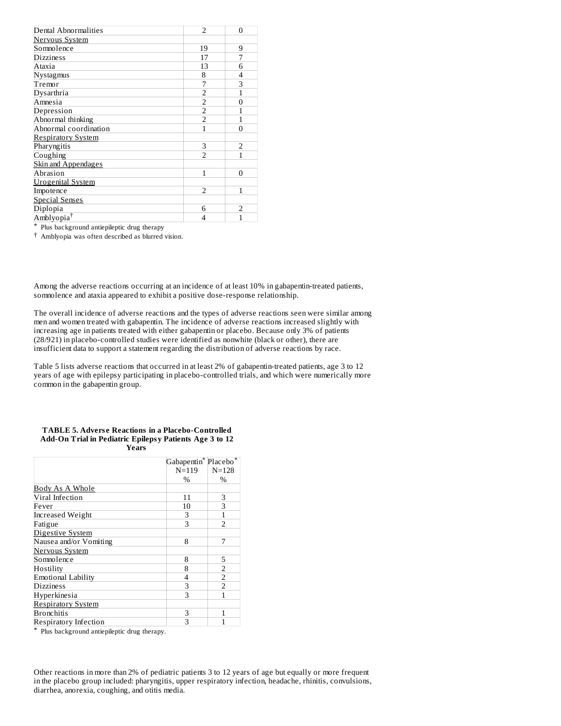| Dental Abnormalities       | $\overline{\phantom{a}}$ | $\Omega$       |
|----------------------------|--------------------------|----------------|
| Nervous System             |                          |                |
| Somnolence                 | 19                       | 9              |
| <b>Dizziness</b>           | 17                       | 7              |
| Ataxia                     | 13                       | 6              |
| Nystagmus                  | 8                        | 4              |
| Tremor                     | 7                        | 3              |
| Dysarthria                 | $\overline{2}$           | 1              |
| Amnesia                    | $\overline{2}$           | 0              |
| Depression                 | $\overline{2}$           |                |
| Abnormal thinking          | $\overline{2}$           |                |
| Abnormal coordination      | 1                        | 0              |
| <b>Respiratory System</b>  |                          |                |
| Pharyngitis                | 3                        | $\overline{2}$ |
| Coughing                   | $\overline{\mathcal{L}}$ | 1              |
| <b>Skin and Appendages</b> |                          |                |
| Abrasion                   | 1                        | U              |
| <b>Urogenital System</b>   |                          |                |
| Impotence                  | $\overline{2}$           | 1              |
| <b>Special Senses</b>      |                          |                |
| Diplopia                   | 6                        | $\overline{2}$ |
| Amblyopia <sup>†</sup>     | 4                        |                |

\* Plus background antiepileptic drug therapy

† Amblyopia was often described as blurred vision.

Among the adverse reactions occurring at an incidence of at least 10% in gabapentin-treated patients, somnolence and ataxia appeared to exhibit a positive dose-response relationship.

The overall incidence of adverse reactions and the types of adverse reactions seen were similar among men and women treated with gabapentin. The incidence of adverse reactions increased slightly with increasing age in patients treated with either gabapentin or placebo. Because only 3% of patients (28/921) in placebo-controlled studies were identified as nonwhite (black or other), there are insufficient data to support a statement regarding the distribution of adverse reactions by race.

Table 5 lists adverse reactions that occurred in at least 2% of gabapentin-treated patients, age 3 to 12 years of age with epilepsy participating in placebo-controlled trials, and which were numerically more common in the gabapentin group.

| <b>TABLE 5. Adverse Reactions in a Placebo-Controlled</b> |
|-----------------------------------------------------------|
| Add-On Trial in Pediatric Epilepsy Patients Age 3 to 12   |
| Years                                                     |

|                           | Gabapentin <sup>*</sup> Placebo <sup>*</sup> |                          |  |  |  |
|---------------------------|----------------------------------------------|--------------------------|--|--|--|
|                           | $N = 119$                                    | $N = 128$                |  |  |  |
|                           | %                                            | %                        |  |  |  |
| <b>Body As A Whole</b>    |                                              |                          |  |  |  |
| Viral Infection           | 11                                           | 3                        |  |  |  |
| Fever                     | 10                                           | 3                        |  |  |  |
| Increased Weight          | 3                                            |                          |  |  |  |
| Fatigue                   | 3                                            | $\overline{\phantom{a}}$ |  |  |  |
| Digestive System          |                                              |                          |  |  |  |
| Nausea and/or Vomiting    | 8                                            |                          |  |  |  |
| Nervous System            |                                              |                          |  |  |  |
| Somnolence                | 8                                            | 5                        |  |  |  |
| Hostility                 | 8                                            | $\overline{2}$           |  |  |  |
| <b>Emotional Lability</b> | 4                                            | $\overline{2}$           |  |  |  |
| <b>Dizziness</b>          | 3                                            | $\overline{2}$           |  |  |  |
| Hyperkinesia              | 3                                            |                          |  |  |  |
| <b>Respiratory System</b> |                                              |                          |  |  |  |
| <b>Bronchitis</b>         | 3                                            |                          |  |  |  |
| Respiratory Infection     | 3                                            |                          |  |  |  |

\* Plus background antiepileptic drug therapy.

Other reactions in more than 2% of pediatric patients 3 to 12 years of age but equally or more frequent in the placebo group included: pharyngitis, upper respiratory infection, headache, rhinitis, convulsions, diarrhea, anorexia, coughing, and otitis media.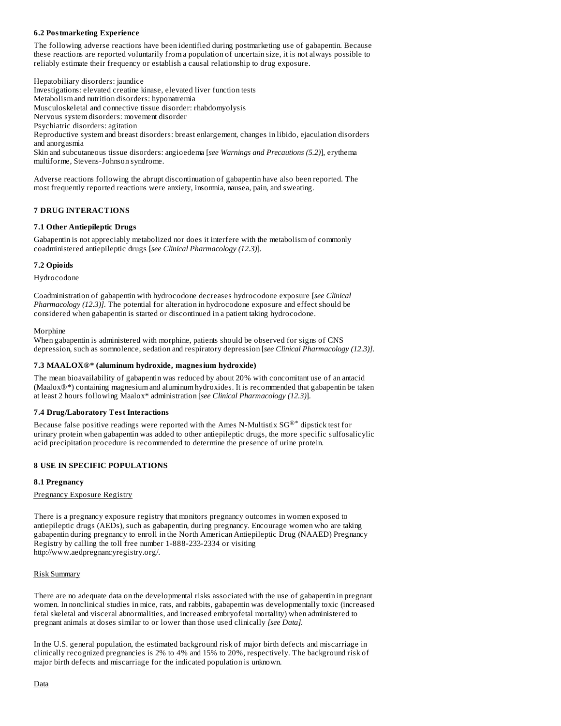# **6.2 Postmarketing Experience**

The following adverse reactions have been identified during postmarketing use of gabapentin. Because these reactions are reported voluntarily from a population of uncertain size, it is not always possible to reliably estimate their frequency or establish a causal relationship to drug exposure.

Hepatobiliary disorders: jaundice Investigations: elevated creatine kinase, elevated liver function tests Metabolism and nutrition disorders: hyponatremia Musculoskeletal and connective tissue disorder: rhabdomyolysis Nervous system disorders: movement disorder Psychiatric disorders: agitation Reproductive system and breast disorders: breast enlargement, changes in libido, ejaculation disorders and anorgasmia Skin and subcutaneous tissue disorders: angioedema [*see Warnings and Precautions (5.2)*], erythema multiforme, Stevens-Johnson syndrome.

Adverse reactions following the abrupt discontinuation of gabapentin have also been reported. The most frequently reported reactions were anxiety, insomnia, nausea, pain, and sweating.

# **7 DRUG INTERACTIONS**

# **7.1 Other Antiepileptic Drugs**

Gabapentin is not appreciably metabolized nor does it interfere with the metabolism of commonly coadministered antiepileptic drugs [*see Clinical Pharmacology (12.3)*].

# **7.2 Opioids**

Hydrocodone

Coadministration of gabapentin with hydrocodone decreases hydrocodone exposure [*see Clinical Pharmacology (12.3)].* The potential for alteration in hydrocodone exposure and effect should be considered when gabapentin is started or discontinued in a patient taking hydrocodone.

Morphine

When gabapentin is administered with morphine, patients should be observed for signs of CNS depression, such as somnolence, sedation and respiratory depression [*see Clinical Pharmacology (12.3)].*

# **7.3 MAALOX®\* (aluminum hydroxide, magnesium hydroxide)**

The mean bioavailability of gabapentin was reduced by about 20% with concomitant use of an antacid (Maalox®\*) containing magnesium and aluminum hydroxides. It is recommended that gabapentin be taken at least 2 hours following Maalox\* administration [*see Clinical Pharmacology (12.3)*].

# **7.4 Drug/Laboratory Test Interactions**

Because false positive readings were reported with the Ames N-Multistix SG $^{\circledR^*}$  dipstick test for urinary protein when gabapentin was added to other antiepileptic drugs, the more specific sulfosalicylic acid precipitation procedure is recommended to determine the presence of urine protein.

# **8 USE IN SPECIFIC POPULATIONS**

# **8.1 Pregnancy**

Pregnancy Exposure Registry

There is a pregnancy exposure registry that monitors pregnancy outcomes in women exposed to antiepileptic drugs (AEDs), such as gabapentin, during pregnancy. Encourage women who are taking gabapentin during pregnancy to enroll in the North American Antiepileptic Drug (NAAED) Pregnancy Registry by calling the toll free number 1-888-233-2334 or visiting http://www.aedpregnancyregistry.org/.

# Risk Summary

There are no adequate data on the developmental risks associated with the use of gabapentin in pregnant women. In nonclinical studies in mice, rats, and rabbits, gabapentin was developmentally toxic (increased fetal skeletal and visceral abnormalities, and increased embryofetal mortality) when administered to pregnant animals at doses similar to or lower than those used clinically *[see Data].*

In the U.S. general population, the estimated background risk of major birth defects and miscarriage in clinically recognized pregnancies is 2% to 4% and 15% to 20%, respectively. The background risk of major birth defects and miscarriage for the indicated population is unknown.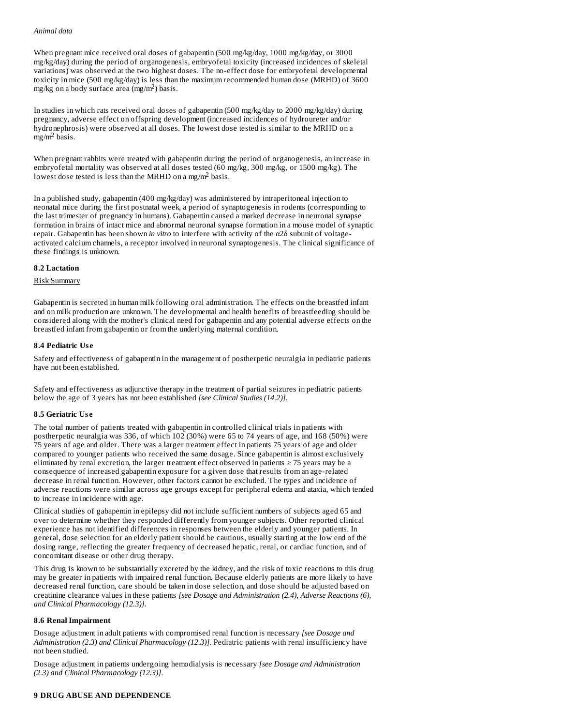#### *Animal data*

When pregnant mice received oral doses of gabapentin (500 mg/kg/day, 1000 mg/kg/day, or 3000 mg/kg/day) during the period of organogenesis, embryofetal toxicity (increased incidences of skeletal variations) was observed at the two highest doses. The no-effect dose for embryofetal developmental toxicity in mice (500 mg/kg/day) is less than the maximum recommended human dose (MRHD) of 3600 mg/kg on a body surface area (mg/m<sup>2</sup>) basis.

In studies in which rats received oral doses of gabapentin (500 mg/kg/day to 2000 mg/kg/day) during pregnancy, adverse effect on offspring development (increased incidences of hydroureter and/or hydronephrosis) were observed at all doses. The lowest dose tested is similar to the MRHD on a  $mg/m<sup>2</sup>$  basis.

When pregnant rabbits were treated with gabapentin during the period of organogenesis, an increase in embryofetal mortality was observed at all doses tested (60 mg/kg, 300 mg/kg, or 1500 mg/kg). The lowest dose tested is less than the MRHD on a mg/m<sup>2</sup> basis.

In a published study, gabapentin (400 mg/kg/day) was administered by intraperitoneal injection to neonatal mice during the first postnatal week, a period of synaptogenesis in rodents (corresponding to the last trimester of pregnancy in humans). Gabapentin caused a marked decrease in neuronal synapse formation in brains of intact mice and abnormal neuronal synapse formation in a mouse model of synaptic repair. Gabapentin has been shown *in vitro* to interfere with activity of the α2δ subunit of voltageactivated calcium channels, a receptor involved in neuronal synaptogenesis. The clinical significance of these findings is unknown.

# **8.2 Lactation**

# Risk Summary

Gabapentin is secreted in human milk following oral administration. The effects on the breastfed infant and on milk production are unknown. The developmental and health benefits of breastfeeding should be considered along with the mother's clinical need for gabapentin and any potential adverse effects on the breastfed infant from gabapentin or from the underlying maternal condition.

# **8.4 Pediatric Us e**

Safety and effectiveness of gabapentin in the management of postherpetic neuralgia in pediatric patients have not been established.

Safety and effectiveness as adjunctive therapy in the treatment of partial seizures in pediatric patients below the age of 3 years has not been established *[see Clinical Studies (14.2)]*.

# **8.5 Geriatric Us e**

The total number of patients treated with gabapentin in controlled clinical trials in patients with postherpetic neuralgia was 336, of which 102 (30%) were 65 to 74 years of age, and 168 (50%) were 75 years of age and older. There was a larger treatment effect in patients 75 years of age and older compared to younger patients who received the same dosage. Since gabapentin is almost exclusively eliminated by renal excretion, the larger treatment effect observed in patients ≥ 75 years may be a consequence of increased gabapentin exposure for a given dose that results from an age-related decrease in renal function. However, other factors cannot be excluded. The types and incidence of adverse reactions were similar across age groups except for peripheral edema and ataxia, which tended to increase in incidence with age.

Clinical studies of gabapentin in epilepsy did not include sufficient numbers of subjects aged 65 and over to determine whether they responded differently from younger subjects. Other reported clinical experience has not identified differences in responses between the elderly and younger patients. In general, dose selection for an elderly patient should be cautious, usually starting at the low end of the dosing range, reflecting the greater frequency of decreased hepatic, renal, or cardiac function, and of concomitant disease or other drug therapy.

This drug is known to be substantially excreted by the kidney, and the risk of toxic reactions to this drug may be greater in patients with impaired renal function. Because elderly patients are more likely to have decreased renal function, care should be taken in dose selection, and dose should be adjusted based on creatinine clearance values in these patients *[see Dosage and Administration (2.4), Adverse Reactions (6), and Clinical Pharmacology (12.3)]*.

# **8.6 Renal Impairment**

Dosage adjustment in adult patients with compromised renal function is necessary *[see Dosage and Administration (2.3) and Clinical Pharmacology (12.3)]*. Pediatric patients with renal insufficiency have not been studied.

Dosage adjustment in patients undergoing hemodialysis is necessary *[see Dosage and Administration (2.3) and Clinical Pharmacology (12.3)]*.

# **9 DRUG ABUSE AND DEPENDENCE**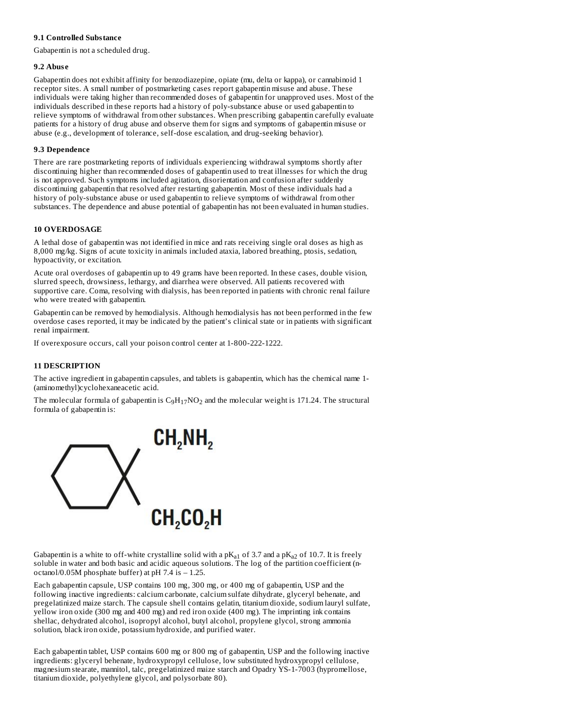# **9.1 Controlled Substance**

Gabapentin is not a scheduled drug.

## **9.2 Abus e**

Gabapentin does not exhibit affinity for benzodiazepine, opiate (mu, delta or kappa), or cannabinoid 1 receptor sites. A small number of postmarketing cases report gabapentin misuse and abuse. These individuals were taking higher than recommended doses of gabapentin for unapproved uses. Most of the individuals described in these reports had a history of poly-substance abuse or used gabapentin to relieve symptoms of withdrawal from other substances. When prescribing gabapentin carefully evaluate patients for a history of drug abuse and observe them for signs and symptoms of gabapentin misuse or abuse (e.g., development of tolerance, self-dose escalation, and drug-seeking behavior).

# **9.3 Dependence**

There are rare postmarketing reports of individuals experiencing withdrawal symptoms shortly after discontinuing higher than recommended doses of gabapentin used to treat illnesses for which the drug is not approved. Such symptoms included agitation, disorientation and confusion after suddenly discontinuing gabapentin that resolved after restarting gabapentin. Most of these individuals had a history of poly-substance abuse or used gabapentin to relieve symptoms of withdrawal from other substances. The dependence and abuse potential of gabapentin has not been evaluated in human studies.

# **10 OVERDOSAGE**

A lethal dose of gabapentin was not identified in mice and rats receiving single oral doses as high as 8,000 mg/kg. Signs of acute toxicity in animals included ataxia, labored breathing, ptosis, sedation, hypoactivity, or excitation.

Acute oral overdoses of gabapentin up to 49 grams have been reported. In these cases, double vision, slurred speech, drowsiness, lethargy, and diarrhea were observed. All patients recovered with supportive care. Coma, resolving with dialysis, has been reported in patients with chronic renal failure who were treated with gabapentin.

Gabapentin can be removed by hemodialysis. Although hemodialysis has not been performed in the few overdose cases reported, it may be indicated by the patient's clinical state or in patients with significant renal impairment.

If overexposure occurs, call your poison control center at 1-800-222-1222.

# **11 DESCRIPTION**

The active ingredient in gabapentin capsules, and tablets is gabapentin, which has the chemical name 1- (aminomethyl)cyclohexaneacetic acid.

The molecular formula of gabapentin is  $C_9H_{17}NO_2$  and the molecular weight is 171.24. The structural formula of gabapentin is:



Gabapentin is a white to off-white crystalline solid with a p $\rm K_{a1}$  of 3.7 and a p $\rm K_{a2}$  of 10.7. It is freely soluble in water and both basic and acidic aqueous solutions. The log of the partition coefficient (noctanol/0.05M phosphate buffer) at pH 7.4 is – 1.25.

Each gabapentin capsule, USP contains 100 mg, 300 mg, or 400 mg of gabapentin, USP and the following inactive ingredients: calcium carbonate, calcium sulfate dihydrate, glyceryl behenate, and pregelatinized maize starch. The capsule shell contains gelatin, titanium dioxide, sodium lauryl sulfate, yellow iron oxide (300 mg and 400 mg) and red iron oxide (400 mg). The imprinting ink contains shellac, dehydrated alcohol, isopropyl alcohol, butyl alcohol, propylene glycol, strong ammonia solution, black iron oxide, potassium hydroxide, and purified water.

Each gabapentin tablet, USP contains 600 mg or 800 mg of gabapentin, USP and the following inactive ingredients: glyceryl behenate, hydroxypropyl cellulose, low substituted hydroxypropyl cellulose, magnesium stearate, mannitol, talc, pregelatinized maize starch and Opadry YS-1-7003 (hypromellose, titanium dioxide, polyethylene glycol, and polysorbate 80).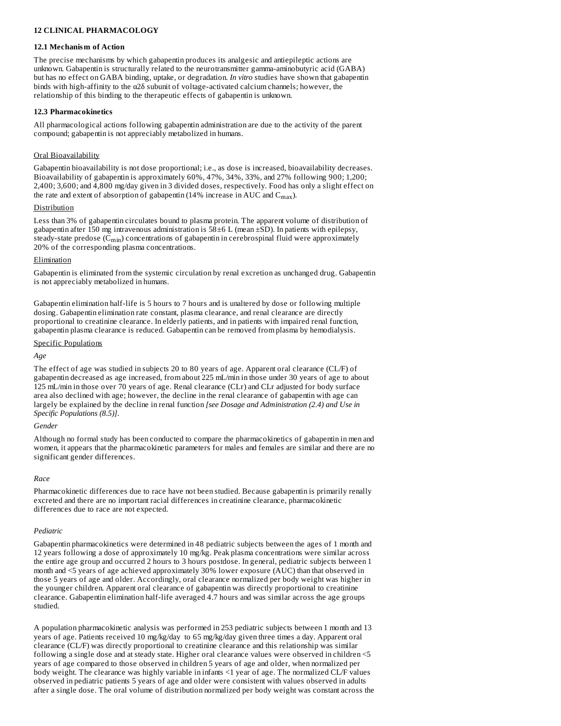# **12 CLINICAL PHARMACOLOGY**

### **12.1 Mechanism of Action**

The precise mechanisms by which gabapentin produces its analgesic and antiepileptic actions are unknown. Gabapentin is structurally related to the neurotransmitter gamma-aminobutyric acid (GABA) but has no effect on GABA binding, uptake, or degradation. *In vitro* studies have shown that gabapentin binds with high-affinity to the α2δ subunit of voltage-activated calcium channels; however, the relationship of this binding to the therapeutic effects of gabapentin is unknown.

#### **12.3 Pharmacokinetics**

All pharmacological actions following gabapentin administration are due to the activity of the parent compound; gabapentin is not appreciably metabolized in humans.

### Oral Bioavailability

Gabapentin bioavailability is not dose proportional; i.e., as dose is increased, bioavailability decreases. Bioavailability of gabapentin is approximately 60%, 47%, 34%, 33%, and 27% following 900; 1,200; 2,400; 3,600; and 4,800 mg/day given in 3 divided doses, respectively. Food has only a slight effect on the rate and extent of absorption of gabapentin (14% increase in AUC and  $\rm C_{max}$ ).

#### **Distribution**

Less than 3% of gabapentin circulates bound to plasma protein. The apparent volume of distribution of gabapentin after 150 mg intravenous administration is  $58\pm6$  L (mean  $\pm$ SD). In patients with epilepsy, steady-state predose  ${\rm (C_{min})}$  concentrations of gabapentin in cerebrospinal fluid were approximately 20% of the corresponding plasma concentrations.

#### Elimination

Gabapentin is eliminated from the systemic circulation by renal excretion as unchanged drug. Gabapentin is not appreciably metabolized in humans.

Gabapentin elimination half-life is 5 hours to 7 hours and is unaltered by dose or following multiple dosing. Gabapentin elimination rate constant, plasma clearance, and renal clearance are directly proportional to creatinine clearance. In elderly patients, and in patients with impaired renal function, gabapentin plasma clearance is reduced. Gabapentin can be removed from plasma by hemodialysis.

#### Specific Populations

#### *Age*

The effect of age was studied in subjects 20 to 80 years of age. Apparent oral clearance (CL/F) of gabapentin decreased as age increased, from about 225 mL/min in those under 30 years of age to about 125 mL/min in those over 70 years of age. Renal clearance (CLr) and CLr adjusted for body surface area also declined with age; however, the decline in the renal clearance of gabapentin with age can largely be explained by the decline in renal function *[see Dosage and Administration (2.4) and Use in Specific Populations (8.5)]*.

#### *Gender*

Although no formal study has been conducted to compare the pharmacokinetics of gabapentin in men and women, it appears that the pharmacokinetic parameters for males and females are similar and there are no significant gender differences.

#### *Race*

Pharmacokinetic differences due to race have not been studied. Because gabapentin is primarily renally excreted and there are no important racial differences in creatinine clearance, pharmacokinetic differences due to race are not expected.

# *Pediatric*

Gabapentin pharmacokinetics were determined in 48 pediatric subjects between the ages of 1 month and 12 years following a dose of approximately 10 mg/kg. Peak plasma concentrations were similar across the entire age group and occurred 2 hours to 3 hours postdose. In general, pediatric subjects between 1 month and <5 years of age achieved approximately 30% lower exposure (AUC) than that observed in those 5 years of age and older. Accordingly, oral clearance normalized per body weight was higher in the younger children. Apparent oral clearance of gabapentin was directly proportional to creatinine clearance. Gabapentin elimination half-life averaged 4.7 hours and was similar across the age groups studied.

A population pharmacokinetic analysis was performed in 253 pediatric subjects between 1 month and 13 years of age. Patients received 10 mg/kg/day to 65 mg/kg/day given three times a day. Apparent oral clearance (CL/F) was directly proportional to creatinine clearance and this relationship was similar following a single dose and at steady state. Higher oral clearance values were observed in children <5 years of age compared to those observed in children 5 years of age and older, when normalized per body weight. The clearance was highly variable in infants <1 year of age. The normalized CL/F values observed in pediatric patients 5 years of age and older were consistent with values observed in adults after a single dose. The oral volume of distribution normalized per body weight was constant across the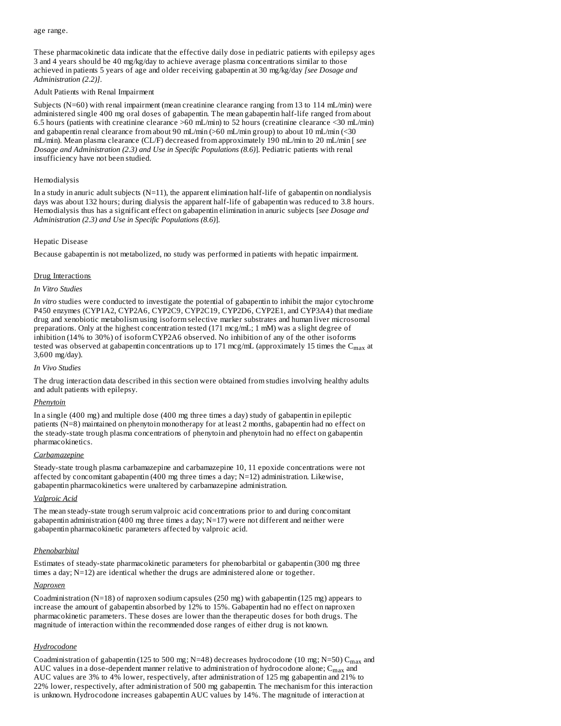#### age range.

These pharmacokinetic data indicate that the effective daily dose in pediatric patients with epilepsy ages 3 and 4 years should be 40 mg/kg/day to achieve average plasma concentrations similar to those achieved in patients 5 years of age and older receiving gabapentin at 30 mg/kg/day *[see Dosage and Administration (2.2)]*.

### Adult Patients with Renal Impairment

Subjects (N=60) with renal impairment (mean creatinine clearance ranging from 13 to 114 mL/min) were administered single 400 mg oral doses of gabapentin. The mean gabapentin half-life ranged from about 6.5 hours (patients with creatinine clearance >60 mL/min) to 52 hours (creatinine clearance <30 mL/min) and gabapentin renal clearance from about 90 mL/min (>60 mL/min group) to about 10 mL/min (<30 mL/min). Mean plasma clearance (CL/F) decreased from approximately 190 mL/min to 20 mL/min [ *see Dosage and Administration (2.3) and Use in Specific Populations (8.6)*]. Pediatric patients with renal insufficiency have not been studied.

### Hemodialysis

In a study in anuric adult subjects  $(N=11)$ , the apparent elimination half-life of gabapentin on nondialysis days was about 132 hours; during dialysis the apparent half-life of gabapentin was reduced to 3.8 hours. Hemodialysis thus has a significant effect on gabapentin elimination in anuric subjects [*see Dosage and Administration (2.3) and Use in Specific Populations (8.6)*].

#### Hepatic Disease

Because gabapentin is not metabolized, no study was performed in patients with hepatic impairment.

# Drug Interactions

#### *In Vitro Studies*

*In vitro* studies were conducted to investigate the potential of gabapentin to inhibit the major cytochrome P450 enzymes (CYP1A2, CYP2A6, CYP2C9, CYP2C19, CYP2D6, CYP2E1, and CYP3A4) that mediate drug and xenobiotic metabolism using isoform selective marker substrates and human liver microsomal preparations. Only at the highest concentration tested (171 mcg/mL; 1 mM) was a slight degree of inhibition (14% to 30%) of isoform CYP2A6 observed. No inhibition of any of the other isoforms tested was observed at gabapentin concentrations up to 171 mcg/mL (approximately 15 times the  $\rm C_{max}$  at 3,600 mg/day).

#### *In Vivo Studies*

The drug interaction data described in this section were obtained from studies involving healthy adults and adult patients with epilepsy.

#### *Phenytoin*

In a single (400 mg) and multiple dose (400 mg three times a day) study of gabapentin in epileptic patients (N=8) maintained on phenytoin monotherapy for at least 2 months, gabapentin had no effect on the steady-state trough plasma concentrations of phenytoin and phenytoin had no effect on gabapentin pharmacokinetics.

#### *Carbamazepine*

Steady-state trough plasma carbamazepine and carbamazepine 10, 11 epoxide concentrations were not affected by concomitant gabapentin (400 mg three times a day;  $N=12$ ) administration. Likewise, gabapentin pharmacokinetics were unaltered by carbamazepine administration.

# *Valproic Acid*

The mean steady-state trough serum valproic acid concentrations prior to and during concomitant gabapentin administration (400 mg three times a day; N=17) were not different and neither were gabapentin pharmacokinetic parameters affected by valproic acid.

# *Phenobarbital*

Estimates of steady-state pharmacokinetic parameters for phenobarbital or gabapentin (300 mg three times a day; N=12) are identical whether the drugs are administered alone or together.

# *Naproxen*

Coadministration (N=18) of naproxen sodium capsules (250 mg) with gabapentin (125 mg) appears to increase the amount of gabapentin absorbed by 12% to 15%. Gabapentin had no effect on naproxen pharmacokinetic parameters. These doses are lower than the therapeutic doses for both drugs. The magnitude of interaction within the recommended dose ranges of either drug is not known.

# *Hydrocodone*

Coadministration of gabapentin (125 to 500 mg; N=48) decreases hydrocodone (10 mg; N=50)  $C_{max}$  and AUC values in a dose-dependent manner relative to administration of hydrocodone alone;  $\mathsf{C}_{\max}$  and AUC values are 3% to 4% lower, respectively, after administration of 125 mg gabapentin and 21% to 22% lower, respectively, after administration of 500 mg gabapentin. The mechanism for this interaction is unknown. Hydrocodone increases gabapentin AUC values by 14%. The magnitude of interaction at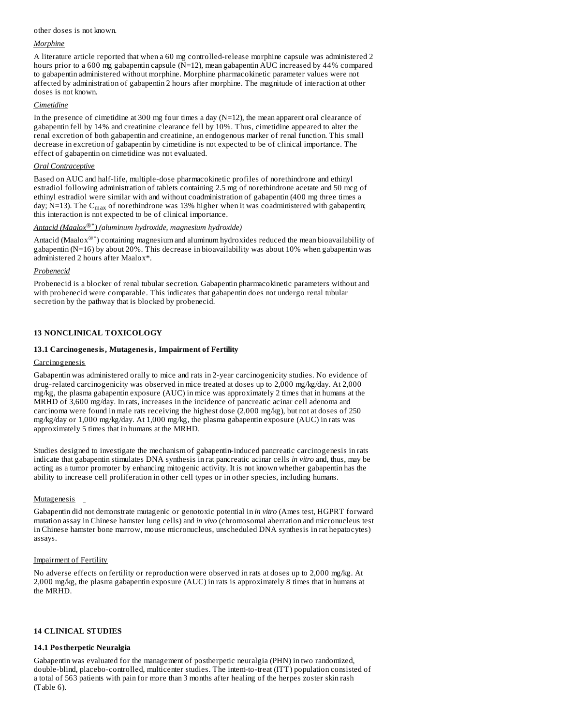# other doses is not known.

# *Morphine*

A literature article reported that when a 60 mg controlled-release morphine capsule was administered 2 hours prior to a 600 mg gabapentin capsule  $(N=12)$ , mean gabapentin AUC increased by 44% compared to gabapentin administered without morphine. Morphine pharmacokinetic parameter values were not affected by administration of gabapentin 2 hours after morphine. The magnitude of interaction at other doses is not known.

# *Cimetidine*

In the presence of cimetidine at 300 mg four times a day  $(N=12)$ , the mean apparent oral clearance of gabapentin fell by 14% and creatinine clearance fell by 10%. Thus, cimetidine appeared to alter the renal excretion of both gabapentin and creatinine, an endogenous marker of renal function. This small decrease in excretion of gabapentin by cimetidine is not expected to be of clinical importance. The effect of gabapentin on cimetidine was not evaluated.

# *Oral Contraceptive*

Based on AUC and half-life, multiple-dose pharmacokinetic profiles of norethindrone and ethinyl estradiol following administration of tablets containing 2.5 mg of norethindrone acetate and 50 mcg of ethinyl estradiol were similar with and without coadministration of gabapentin (400 mg three times a day; N=13). The  $\rm C_{max}$  of norethindrone was 13% higher when it was coadministered with gabapentin; this interaction is not expected to be of clinical importance.

# *Antacid (Maalox ) (aluminum hydroxide, magnesium hydroxide) ®\**

Antacid (Maalox®\*) containing magnesium and aluminum hydroxides reduced the mean bioavailability of gabapentin (N=16) by about 20%. This decrease in bioavailability was about 10% when gabapentin was administered 2 hours after Maalox\*.

# *Probenecid*

Probenecid is a blocker of renal tubular secretion. Gabapentin pharmacokinetic parameters without and with probenecid were comparable. This indicates that gabapentin does not undergo renal tubular secretion by the pathway that is blocked by probenecid.

# **13 NONCLINICAL TOXICOLOGY**

# **13.1 Carcinogenesis, Mutagenesis, Impairment of Fertility**

# **Carcinogenesis**

Gabapentin was administered orally to mice and rats in 2-year carcinogenicity studies. No evidence of drug-related carcinogenicity was observed in mice treated at doses up to 2,000 mg/kg/day. At 2,000 mg/kg, the plasma gabapentin exposure (AUC) in mice was approximately 2 times that in humans at the MRHD of 3,600 mg/day. In rats, increases in the incidence of pancreatic acinar cell adenoma and carcinoma were found in male rats receiving the highest dose (2,000 mg/kg), but not at doses of 250 mg/kg/day or 1,000 mg/kg/day. At 1,000 mg/kg, the plasma gabapentin exposure (AUC) in rats was approximately 5 times that in humans at the MRHD.

Studies designed to investigate the mechanism of gabapentin-induced pancreatic carcinogenesis in rats indicate that gabapentin stimulates DNA synthesis in rat pancreatic acinar cells *in vitro* and, thus, may be acting as a tumor promoter by enhancing mitogenic activity. It is not known whether gabapentin has the ability to increase cell proliferation in other cell types or in other species, including humans.

# Mutagenesis

Gabapentin did not demonstrate mutagenic or genotoxic potential in *in vitro* (Ames test, HGPRT forward mutation assay in Chinese hamster lung cells) and *in vivo* (chromosomal aberration and micronucleus test in Chinese hamster bone marrow, mouse micronucleus, unscheduled DNA synthesis in rat hepatocytes) assays.

# Impairment of Fertility

No adverse effects on fertility or reproduction were observed in rats at doses up to 2,000 mg/kg. At 2,000 mg/kg, the plasma gabapentin exposure (AUC) in rats is approximately 8 times that in humans at the MRHD.

# **14 CLINICAL STUDIES**

# **14.1 Postherpetic Neuralgia**

Gabapentin was evaluated for the management of postherpetic neuralgia (PHN) in two randomized, double-blind, placebo-controlled, multicenter studies. The intent-to-treat (ITT) population consisted of a total of 563 patients with pain for more than 3 months after healing of the herpes zoster skin rash (Table 6).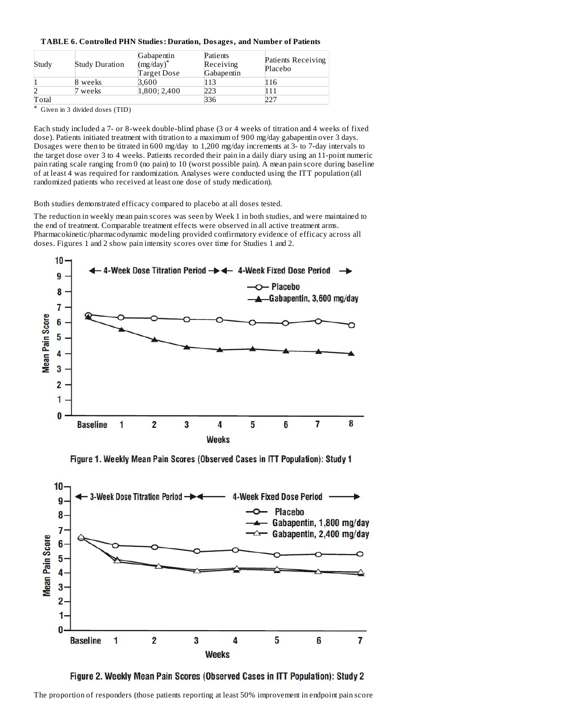# **TABLE 6. Controlled PHN Studies: Duration, Dosages, and Number of Patients**

| Study | <b>Study Duration</b> | Gabapentin<br>$(mg/day)^*$<br>Target Dose | Patients<br>Receiving<br>Gabapentin | Patients Receiving<br>Placebo |
|-------|-----------------------|-------------------------------------------|-------------------------------------|-------------------------------|
|       | 8 weeks               | 3.600                                     |                                     | 16                            |
|       | weeks                 | 1.800:2.400                               | 223                                 |                               |
| Total |                       |                                           | 336                                 | 227                           |

\* Given in 3 divided doses (TID)

Each study included a 7- or 8-week double-blind phase (3 or 4 weeks of titration and 4 weeks of fixed dose). Patients initiated treatment with titration to a maximum of 900 mg/day gabapentin over 3 days. Dosages were then to be titrated in 600 mg/day to 1,200 mg/day increments at 3- to 7-day intervals to the target dose over 3 to 4 weeks. Patients recorded their pain in a daily diary using an 11-point numeric pain rating scale ranging from 0 (no pain) to 10 (worst possible pain). A mean pain score during baseline of at least 4 was required for randomization. Analyses were conducted using the ITT population (all randomized patients who received at least one dose of study medication).

Both studies demonstrated efficacy compared to placebo at all doses tested.

The reduction in weekly mean pain scores was seen by Week 1 in both studies, and were maintained to the end of treatment. Comparable treatment effects were observed in all active treatment arms. Pharmacokinetic/pharmacodynamic modeling provided confirmatory evidence of efficacy across all doses. Figures 1 and 2 show pain intensity scores over time for Studies 1 and 2.



Figure 1. Weekly Mean Pain Scores (Observed Cases in ITT Population): Study 1





The proportion of responders (those patients reporting at least 50% improvement in endpoint pain score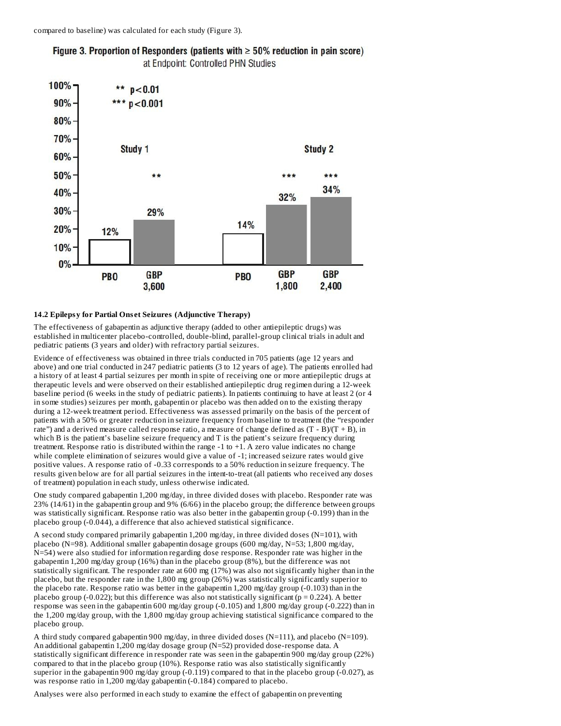

# Figure 3. Proportion of Responders (patients with  $\geq 50\%$  reduction in pain score) at Endpoint: Controlled PHN Studies

### **14.2 Epilepsy for Partial Ons et Seizures (Adjunctive Therapy)**

The effectiveness of gabapentin as adjunctive therapy (added to other antiepileptic drugs) was established in multicenter placebo-controlled, double-blind, parallel-group clinical trials in adult and pediatric patients (3 years and older) with refractory partial seizures.

Evidence of effectiveness was obtained in three trials conducted in 705 patients (age 12 years and above) and one trial conducted in 247 pediatric patients (3 to 12 years of age). The patients enrolled had a history of at least 4 partial seizures per month in spite of receiving one or more antiepileptic drugs at therapeutic levels and were observed on their established antiepileptic drug regimen during a 12-week baseline period (6 weeks in the study of pediatric patients). In patients continuing to have at least 2 (or 4 in some studies) seizures per month, gabapentin or placebo was then added on to the existing therapy during a 12-week treatment period. Effectiveness was assessed primarily on the basis of the percent of patients with a 50% or greater reduction in seizure frequency from baseline to treatment (the "responder rate") and a derived measure called response ratio, a measure of change defined as  $(T - B)/(T + B)$ , in which B is the patient's baseline seizure frequency and T is the patient's seizure frequency during treatment. Response ratio is distributed within the range -1 to +1. A zero value indicates no change while complete elimination of seizures would give a value of -1; increased seizure rates would give positive values. A response ratio of -0.33 corresponds to a 50% reduction in seizure frequency. The results given below are for all partial seizures in the intent-to-treat (all patients who received any doses of treatment) population in each study, unless otherwise indicated.

One study compared gabapentin 1,200 mg/day, in three divided doses with placebo. Responder rate was 23% (14/61) in the gabapentin group and 9% (6/66) in the placebo group; the difference between groups was statistically significant. Response ratio was also better in the gabapentin group (-0.199) than in the placebo group (-0.044), a difference that also achieved statistical significance.

A second study compared primarily gabapentin 1,200 mg/day, in three divided doses ( $N=101$ ), with placebo (N=98). Additional smaller gabapentin dosage groups (600 mg/day, N=53; 1,800 mg/day, N=54) were also studied for information regarding dose response. Responder rate was higher in the gabapentin 1,200 mg/day group (16%) than in the placebo group (8%), but the difference was not statistically significant. The responder rate at 600 mg (17%) was also not significantly higher than in the placebo, but the responder rate in the 1,800 mg group (26%) was statistically significantly superior to the placebo rate. Response ratio was better in the gabapentin 1,200 mg/day group (-0.103) than in the placebo group (-0.022); but this difference was also not statistically significant ( $p = 0.224$ ). A better response was seen in the gabapentin 600 mg/day group (-0.105) and 1,800 mg/day group (-0.222) than in the 1,200 mg/day group, with the 1,800 mg/day group achieving statistical significance compared to the placebo group.

A third study compared gabapentin 900 mg/day, in three divided doses (N=111), and placebo (N=109). An additional gabapentin 1,200 mg/day dosage group (N=52) provided dose-response data. A statistically significant difference in responder rate was seen in the gabapentin 900 mg/day group (22%) compared to that in the placebo group (10%). Response ratio was also statistically significantly superior in the gabapentin 900 mg/day group (-0.119) compared to that in the placebo group (-0.027), as was response ratio in 1,200 mg/day gabapentin (-0.184) compared to placebo.

Analyses were also performed in each study to examine the effect of gabapentin on preventing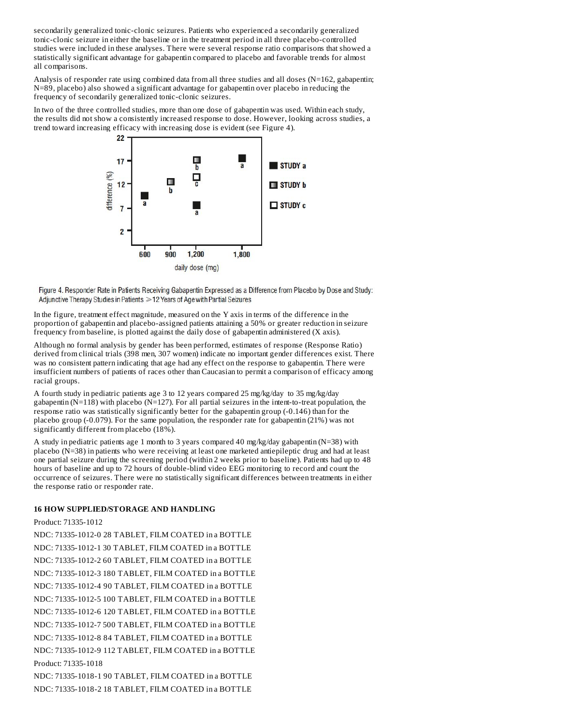secondarily generalized tonic-clonic seizures. Patients who experienced a secondarily generalized tonic-clonic seizure in either the baseline or in the treatment period in all three placebo-controlled studies were included in these analyses. There were several response ratio comparisons that showed a statistically significant advantage for gabapentin compared to placebo and favorable trends for almost all comparisons.

Analysis of responder rate using combined data from all three studies and all doses (N=162, gabapentin; N=89, placebo) also showed a significant advantage for gabapentin over placebo in reducing the frequency of secondarily generalized tonic-clonic seizures.

In two of the three controlled studies, more than one dose of gabapentin was used. Within each study, the results did not show a consistently increased response to dose. However, looking across studies, a trend toward increasing efficacy with increasing dose is evident (see Figure 4).



Figure 4. Responder Rate in Patients Receiving Gabapentin Expressed as a Difference from Placebo by Dose and Study: Adjunctive Therapy Studies in Patients > 12 Years of Age with Partial Seizures

In the figure, treatment effect magnitude, measured on the Y axis in terms of the difference in the proportion of gabapentin and placebo-assigned patients attaining a 50% or greater reduction in seizure frequency from baseline, is plotted against the daily dose of gabapentin administered (X axis).

Although no formal analysis by gender has been performed, estimates of response (Response Ratio) derived from clinical trials (398 men, 307 women) indicate no important gender differences exist. There was no consistent pattern indicating that age had any effect on the response to gabapentin. There were insufficient numbers of patients of races other than Caucasian to permit a comparison of efficacy among racial groups.

A fourth study in pediatric patients age 3 to 12 years compared 25 mg/kg/day to 35 mg/kg/day gabapentin (N=118) with placebo (N=127). For all partial seizures in the intent-to-treat population, the response ratio was statistically significantly better for the gabapentin group (-0.146) than for the placebo group (-0.079). For the same population, the responder rate for gabapentin (21%) was not significantly different from placebo (18%).

A study in pediatric patients age 1 month to 3 years compared 40 mg/kg/day gabapentin (N=38) with placebo (N=38) in patients who were receiving at least one marketed antiepileptic drug and had at least one partial seizure during the screening period (within 2 weeks prior to baseline). Patients had up to 48 hours of baseline and up to 72 hours of double-blind video EEG monitoring to record and count the occurrence of seizures. There were no statistically significant differences between treatments in either the response ratio or responder rate.

# **16 HOW SUPPLIED/STORAGE AND HANDLING**

Product: 71335-1012

NDC: 71335-1012-0 28 TABLET, FILM COATED in a BOTTLE NDC: 71335-1012-1 30 TABLET, FILM COATED in a BOTTLE NDC: 71335-1012-2 60 TABLET, FILM COATED in a BOTTLE NDC: 71335-1012-3 180 TABLET, FILM COATED in a BOTTLE NDC: 71335-1012-4 90 TABLET, FILM COATED in a BOTTLE NDC: 71335-1012-5 100 TABLET, FILM COATED in a BOTTLE NDC: 71335-1012-6 120 TABLET, FILM COATED in a BOTTLE NDC: 71335-1012-7 500 TABLET, FILM COATED in a BOTTLE NDC: 71335-1012-8 84 TABLET, FILM COATED in a BOTTLE NDC: 71335-1012-9 112 TABLET, FILM COATED in a BOTTLE Product: 71335-1018

NDC: 71335-1018-1 90 TABLET, FILM COATED in a BOTTLE NDC: 71335-1018-2 18 TABLET, FILM COATED in a BOTTLE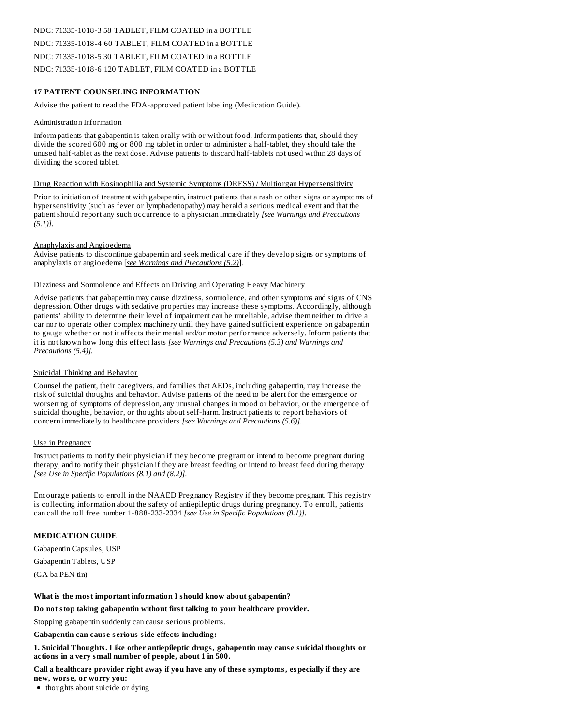# NDC: 71335-1018-3 58 TABLET, FILM COATED in a BOTTLE NDC: 71335-1018-4 60 TABLET, FILM COATED in a BOTTLE NDC: 71335-1018-5 30 TABLET, FILM COATED in a BOTTLE NDC: 71335-1018-6 120 TABLET, FILM COATED in a BOTTLE

# **17 PATIENT COUNSELING INFORMATION**

Advise the patient to read the FDA-approved patient labeling (Medication Guide).

### Administration Information

Inform patients that gabapentin is taken orally with or without food. Inform patients that, should they divide the scored 600 mg or 800 mg tablet in order to administer a half-tablet, they should take the unused half-tablet as the next dose. Advise patients to discard half-tablets not used within 28 days of dividing the scored tablet.

#### Drug Reaction with Eosinophilia and Systemic Symptoms (DRESS) / Multiorgan Hypersensitivity

Prior to initiation of treatment with gabapentin, instruct patients that a rash or other signs or symptoms of hypersensitivity (such as fever or lymphadenopathy) may herald a serious medical event and that the patient should report any such occurrence to a physician immediately *[see Warnings and Precautions (5.1)]*.

### Anaphylaxis and Angioedema

Advise patients to discontinue gabapentin and seek medical care if they develop signs or symptoms of anaphylaxis or angioedema [*see Warnings and Precautions (5.2)*].

#### Dizziness and Somnolence and Effects on Driving and Operating Heavy Machinery

Advise patients that gabapentin may cause dizziness, somnolence, and other symptoms and signs of CNS depression. Other drugs with sedative properties may increase these symptoms. Accordingly, although patients' ability to determine their level of impairment can be unreliable, advise them neither to drive a car nor to operate other complex machinery until they have gained sufficient experience on gabapentin to gauge whether or not it affects their mental and/or motor performance adversely. Inform patients that it is not known how long this effect lasts *[see Warnings and Precautions (5.3) and Warnings and Precautions (5.4)].*

# Suicidal Thinking and Behavior

Counsel the patient, their caregivers, and families that AEDs, including gabapentin, may increase the risk of suicidal thoughts and behavior. Advise patients of the need to be alert for the emergence or worsening of symptoms of depression, any unusual changes in mood or behavior, or the emergence of suicidal thoughts, behavior, or thoughts about self-harm. Instruct patients to report behaviors of concern immediately to healthcare providers *[see Warnings and Precautions (5.6)]*.

# Use in Pregnancy

Instruct patients to notify their physician if they become pregnant or intend to become pregnant during therapy, and to notify their physician if they are breast feeding or intend to breast feed during therapy *[see Use in Specific Populations (8.1) and (8.2)]*.

Encourage patients to enroll in the NAAED Pregnancy Registry if they become pregnant. This registry is collecting information about the safety of antiepileptic drugs during pregnancy. To enroll, patients can call the toll free number 1-888-233-2334 *[see Use in Specific Populations (8.1)]*.

# **MEDICATION GUIDE**

Gabapentin Capsules, USP Gabapentin Tablets, USP

(GA ba PEN tin)

# **What is the most important information I should know about gabapentin?**

**Do not stop taking gabapentin without first talking to your healthcare provider.**

Stopping gabapentin suddenly can cause serious problems.

**Gabapentin can caus e s erious side effects including:**

**1. Suicidal Thoughts. Like other antiepileptic drugs, gabapentin may caus e suicidal thoughts or actions in a very small number of people, about 1 in 500.**

**Call a healthcare provider right away if you have any of thes e symptoms, especially if they are new, wors e, or worry you:**

• thoughts about suicide or dying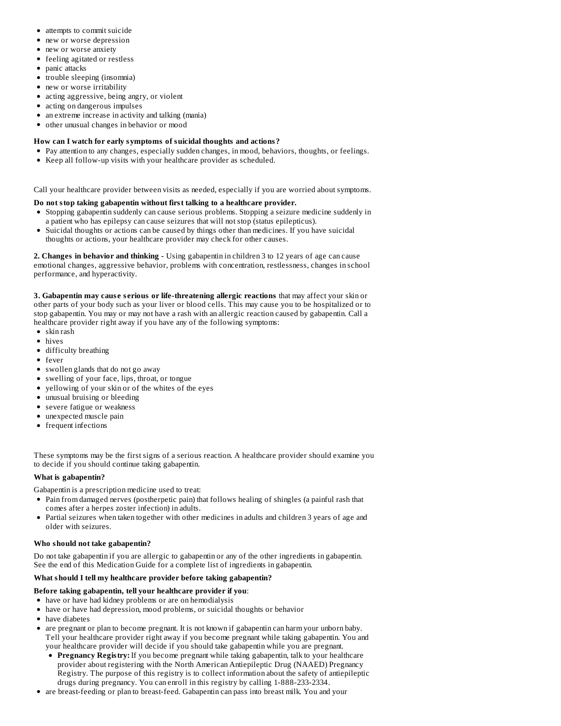- attempts to commit suicide
- new or worse depression
- new or worse anxiety
- feeling agitated or restless
- panic attacks
- trouble sleeping (insomnia)
- new or worse irritability
- acting aggressive, being angry, or violent
- $\bullet$ acting on dangerous impulses
- an extreme increase in activity and talking (mania)  $\bullet$
- other unusual changes in behavior or mood

# **How can I watch for early symptoms of suicidal thoughts and actions?**

- Pay attention to any changes, especially sudden changes, in mood, behaviors, thoughts, or feelings.
- Keep all follow-up visits with your healthcare provider as scheduled.

Call your healthcare provider between visits as needed, especially if you are worried about symptoms.

# **Do not stop taking gabapentin without first talking to a healthcare provider.**

- Stopping gabapentin suddenly can cause serious problems. Stopping a seizure medicine suddenly in a patient who has epilepsy can cause seizures that will not stop (status epilepticus).
- Suicidal thoughts or actions can be caused by things other than medicines. If you have suicidal thoughts or actions, your healthcare provider may check for other causes.

**2. Changes in behavior and thinking -** Using gabapentin in children 3 to 12 years of age can cause emotional changes, aggressive behavior, problems with concentration, restlessness, changes in school performance, and hyperactivity.

**3. Gabapentin may caus e s erious or life-threatening allergic reactions** that may affect your skin or other parts of your body such as your liver or blood cells. This may cause you to be hospitalized or to stop gabapentin. You may or may not have a rash with an allergic reaction caused by gabapentin. Call a healthcare provider right away if you have any of the following symptoms:

- skin rash
- hives
- difficulty breathing
- fever
- swollen glands that do not go away
- swelling of your face, lips, throat, or tongue
- yellowing of your skin or of the whites of the eyes
- unusual bruising or bleeding
- severe fatigue or weakness
- unexpected muscle pain
- frequent infections

These symptoms may be the first signs of a serious reaction. A healthcare provider should examine you to decide if you should continue taking gabapentin.

# **What is gabapentin?**

Gabapentin is a prescription medicine used to treat:

- Pain from damaged nerves (postherpetic pain) that follows healing of shingles (a painful rash that comes after a herpes zoster infection) in adults.
- Partial seizures when taken together with other medicines in adults and children 3 years of age and older with seizures.

# **Who should not take gabapentin?**

Do not take gabapentin if you are allergic to gabapentin or any of the other ingredients in gabapentin. See the end of this Medication Guide for a complete list of ingredients in gabapentin.

# **What should I tell my healthcare provider before taking gabapentin?**

# **Before taking gabapentin, tell your healthcare provider if you**:

- have or have had kidney problems or are on hemodialysis
- have or have had depression, mood problems, or suicidal thoughts or behavior
- have diabetes
- $\bullet$ are pregnant or plan to become pregnant. It is not known if gabapentin can harm your unborn baby. Tell your healthcare provider right away if you become pregnant while taking gabapentin. You and your healthcare provider will decide if you should take gabapentin while you are pregnant.
	- **Pregnancy Registry:** If you become pregnant while taking gabapentin, talk to your healthcare provider about registering with the North American Antiepileptic Drug (NAAED) Pregnancy Registry. The purpose of this registry is to collect information about the safety of antiepileptic drugs during pregnancy. You can enroll in this registry by calling 1-888-233-2334.
- are breast-feeding or plan to breast-feed. Gabapentin can pass into breast milk. You and your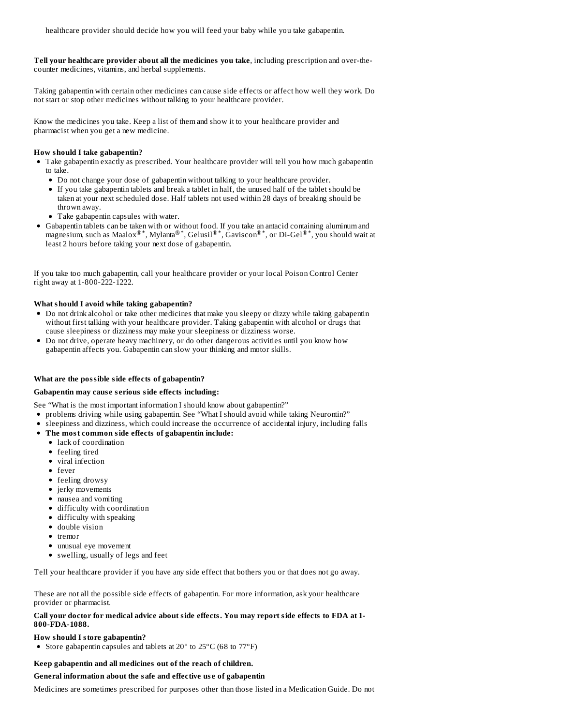**Tell your healthcare provider about all the medicines you take**, including prescription and over-thecounter medicines, vitamins, and herbal supplements.

Taking gabapentin with certain other medicines can cause side effects or affect how well they work. Do not start or stop other medicines without talking to your healthcare provider.

Know the medicines you take. Keep a list of them and show it to your healthcare provider and pharmacist when you get a new medicine.

#### **How should I take gabapentin?**

- Take gabapentin exactly as prescribed. Your healthcare provider will tell you how much gabapentin to take.
	- Do not change your dose of gabapentin without talking to your healthcare provider.
	- If you take gabapentin tablets and break a tablet in half, the unused half of the tablet should be taken at your next scheduled dose. Half tablets not used within 28 days of breaking should be thrown away.
	- Take gabapentin capsules with water.
- Gabapentin tablets can be taken with or without food. If you take an antacid containing aluminum and magnesium, such as Maalox $^{\circledR^*}$ , Mylanta $^{\circledR^*}$ , Gelusil $^{\circledR^*}$ , Gaviscon $^{\circledR^*}$ , or Di-Gel $^{\circledR^*}$ , you should wait at least 2 hours before taking your next dose of gabapentin.

If you take too much gabapentin, call your healthcare provider or your local Poison Control Center right away at 1-800-222-1222.

#### **What should I avoid while taking gabapentin?**

- Do not drink alcohol or take other medicines that make you sleepy or dizzy while taking gabapentin without first talking with your healthcare provider. Taking gabapentin with alcohol or drugs that cause sleepiness or dizziness may make your sleepiness or dizziness worse.
- Do not drive, operate heavy machinery, or do other dangerous activities until you know how gabapentin affects you. Gabapentin can slow your thinking and motor skills.

#### **What are the possible side effects of gabapentin?**

### **Gabapentin may caus e s erious side effects including:**

- See "What is the most important information I should know about gabapentin?"
- problems driving while using gabapentin. See "What I should avoid while taking Neurontin?"
- sleepiness and dizziness, which could increase the occurrence of accidental injury, including falls
- **The most common side effects of gabapentin include:**
	- lack of coordination
	- feeling tired
	- viral infection
	- fever
	- feeling drowsy
	- jerky movements
	- nausea and vomiting
	- difficulty with coordination
	- difficulty with speaking
	- double vision
	- tremor
	- unusual eye movement
	- swelling, usually of legs and feet

Tell your healthcare provider if you have any side effect that bothers you or that does not go away.

These are not all the possible side effects of gabapentin. For more information, ask your healthcare provider or pharmacist.

# **Call your doctor for medical advice about side effects. You may report side effects to FDA at 1- 800-FDA-1088.**

#### **How should I store gabapentin?**

• Store gabapentin capsules and tablets at  $20^{\circ}$  to  $25^{\circ}$ C (68 to  $77^{\circ}$ F)

# **Keep gabapentin and all medicines out of the reach of children.**

# **General information about the safe and effective us e of gabapentin**

Medicines are sometimes prescribed for purposes other than those listed in a Medication Guide. Do not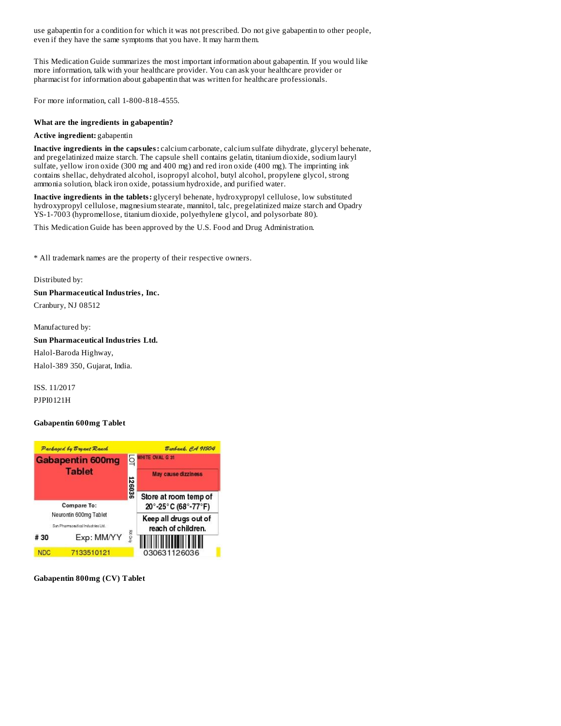use gabapentin for a condition for which it was not prescribed. Do not give gabapentin to other people, even if they have the same symptoms that you have. It may harm them.

This Medication Guide summarizes the most important information about gabapentin. If you would like more information, talk with your healthcare provider. You can ask your healthcare provider or pharmacist for information about gabapentin that was written for healthcare professionals.

For more information, call 1-800-818-4555.

# **What are the ingredients in gabapentin?**

# **Active ingredient:** gabapentin

**Inactive ingredients in the capsules:** calcium carbonate, calcium sulfate dihydrate, glyceryl behenate, and pregelatinized maize starch. The capsule shell contains gelatin, titanium dioxide, sodium lauryl sulfate, yellow iron oxide (300 mg and 400 mg) and red iron oxide (400 mg). The imprinting ink contains shellac, dehydrated alcohol, isopropyl alcohol, butyl alcohol, propylene glycol, strong ammonia solution, black iron oxide, potassium hydroxide, and purified water.

**Inactive ingredients in the tablets:** glyceryl behenate, hydroxypropyl cellulose, low substituted hydroxypropyl cellulose, magnesium stearate, mannitol, talc, pregelatinized maize starch and Opadry YS-1-7003 (hypromellose, titanium dioxide, polyethylene glycol, and polysorbate 80).

This Medication Guide has been approved by the U.S. Food and Drug Administration.

\* All trademark names are the property of their respective owners.

Distributed by:

**Sun Pharmaceutical Industries, Inc.** Cranbury, NJ 08512

Manufactured by: **Sun Pharmaceutical Industries Ltd.** Halol-Baroda Highway, Halol-389 350, Gujarat, India.

ISS. 11/2017 PJPI0121H

# **Gabapentin 600mg Tablet**



**Gabapentin 800mg (CV) Tablet**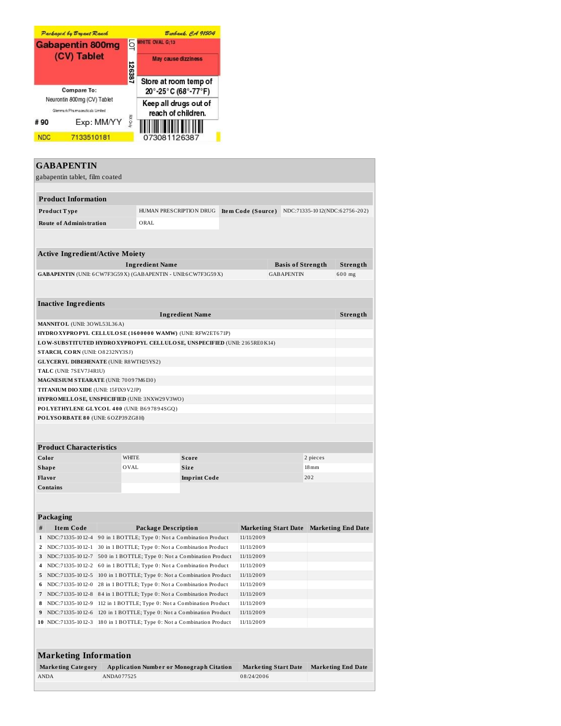

| <b>GABAPENTIN</b>                                                        |                                                                                                                                                        |                                                    |                        |            |                             |                          |          |                               |
|--------------------------------------------------------------------------|--------------------------------------------------------------------------------------------------------------------------------------------------------|----------------------------------------------------|------------------------|------------|-----------------------------|--------------------------|----------|-------------------------------|
| gabapentin tablet, film coated                                           |                                                                                                                                                        |                                                    |                        |            |                             |                          |          |                               |
|                                                                          |                                                                                                                                                        |                                                    |                        |            |                             |                          |          |                               |
| <b>Product Information</b>                                               |                                                                                                                                                        |                                                    |                        |            |                             |                          |          |                               |
| Product Type                                                             |                                                                                                                                                        | HUMAN PRESCRIPTION DRUG                            |                        |            | Item Code (Source)          |                          |          | NDC:71335-1012(NDC:62756-202) |
| <b>Route of Administration</b>                                           |                                                                                                                                                        | ORAL                                               |                        |            |                             |                          |          |                               |
|                                                                          |                                                                                                                                                        |                                                    |                        |            |                             |                          |          |                               |
|                                                                          |                                                                                                                                                        |                                                    |                        |            |                             |                          |          |                               |
| <b>Active Ingredient/Active Moiety</b>                                   |                                                                                                                                                        |                                                    |                        |            |                             |                          |          |                               |
|                                                                          |                                                                                                                                                        | <b>Ingredient Name</b>                             |                        |            |                             | <b>Basis of Strength</b> |          | Strength                      |
| GABAPENTIN (UNII: 6CW7F3G59X) (GABAPENTIN - UNII:6CW7F3G59X)             |                                                                                                                                                        |                                                    |                        |            |                             | <b>GABAPENTIN</b>        |          | 600 mg                        |
|                                                                          |                                                                                                                                                        |                                                    |                        |            |                             |                          |          |                               |
|                                                                          |                                                                                                                                                        |                                                    |                        |            |                             |                          |          |                               |
| <b>Inactive Ingredients</b>                                              |                                                                                                                                                        |                                                    |                        |            |                             |                          |          |                               |
|                                                                          |                                                                                                                                                        |                                                    | <b>Ingredient Name</b> |            |                             |                          |          | Strength                      |
| MANNITOL (UNII: 30WL53L36A)                                              |                                                                                                                                                        |                                                    |                        |            |                             |                          |          |                               |
| HYDRO XYPROPYL CELLULOSE (1600000 WAMW) (UNII: RFW2ET671P)               |                                                                                                                                                        |                                                    |                        |            |                             |                          |          |                               |
| LOW-SUBSTITUTED HYDRO XYPROPYL CELLULOSE, UNSPECIFIED (UNII: 2165RE0K14) |                                                                                                                                                        |                                                    |                        |            |                             |                          |          |                               |
| STARCH, CORN (UNII: O8232NY3SJ)                                          |                                                                                                                                                        |                                                    |                        |            |                             |                          |          |                               |
| <b>GLYCERYL DIBEHENATE (UNII: R8WTH25YS2)</b>                            |                                                                                                                                                        |                                                    |                        |            |                             |                          |          |                               |
| TALC (UNII: 7SEV7J4R1U)                                                  |                                                                                                                                                        |                                                    |                        |            |                             |                          |          |                               |
| MAGNESIUM STEARATE (UNII: 70097M6I30)                                    |                                                                                                                                                        |                                                    |                        |            |                             |                          |          |                               |
| TITANIUM DIO XIDE (UNII: 15FIX9V2JP)                                     |                                                                                                                                                        |                                                    |                        |            |                             |                          |          |                               |
| HYPROMELLOSE, UNSPECIFIED (UNII: 3NXW29V3WO)                             |                                                                                                                                                        |                                                    |                        |            |                             |                          |          |                               |
| POLYETHYLENE GLYCOL 400 (UNII: B697894SGQ)                               |                                                                                                                                                        |                                                    |                        |            |                             |                          |          |                               |
| POLYSORBATE 80 (UNII: 6OZP39ZG8H)                                        |                                                                                                                                                        |                                                    |                        |            |                             |                          |          |                               |
|                                                                          |                                                                                                                                                        |                                                    |                        |            |                             |                          |          |                               |
|                                                                          |                                                                                                                                                        |                                                    |                        |            |                             |                          |          |                               |
| <b>Product Characteristics</b>                                           |                                                                                                                                                        |                                                    |                        |            |                             |                          |          |                               |
| Color                                                                    |                                                                                                                                                        | <b>WHITE</b>                                       | Score                  |            |                             |                          | 2 pieces |                               |
| <b>Shape</b>                                                             |                                                                                                                                                        | OVAL                                               | Size                   |            | $18 \,\mathrm{mm}$          |                          |          |                               |
| Flavor                                                                   |                                                                                                                                                        |                                                    | <b>Imprint Code</b>    |            | 202                         |                          |          |                               |
| Contains                                                                 |                                                                                                                                                        |                                                    |                        |            |                             |                          |          |                               |
|                                                                          |                                                                                                                                                        |                                                    |                        |            |                             |                          |          |                               |
|                                                                          |                                                                                                                                                        |                                                    |                        |            |                             |                          |          |                               |
| Packaging                                                                |                                                                                                                                                        |                                                    |                        |            |                             |                          |          |                               |
| <b>Item Code</b><br>#                                                    |                                                                                                                                                        | <b>Package Description</b>                         |                        |            | <b>Marketing Start Date</b> |                          |          | <b>Marketing End Date</b>     |
| 1 NDC:71335-1012-4 90 in 1 BOTTLE; Type 0: Not a Combination Product     |                                                                                                                                                        |                                                    |                        |            | 11/11/2009                  |                          |          |                               |
| NDC:71335-1012-1                                                         |                                                                                                                                                        | 30 in 1 BOTTLE; Type 0: Not a Combination Product  |                        |            | 11/11/2009                  |                          |          |                               |
| 3 NDC:71335-1012-7 500 in 1 BOTTLE; Type 0: Not a Combination Product    |                                                                                                                                                        |                                                    |                        |            | 11/11/2009                  |                          |          |                               |
| 4                                                                        |                                                                                                                                                        |                                                    |                        |            |                             |                          |          |                               |
| 5                                                                        | NDC:71335-1012-2 60 in 1 BOTTLE; Type 0: Not a Combination Product<br>11/11/2009                                                                       |                                                    |                        |            |                             |                          |          |                               |
| NDC:71335-1012-0<br>6                                                    | NDC:71335-1012-5   100 in 1 BOTTLE; Type 0: Not a Combination Product<br>11/11/2009<br>28 in 1 BOTTLE; Type 0: Not a Combination Product<br>11/11/2009 |                                                    |                        |            |                             |                          |          |                               |
| NDC:71335-1012-8<br>7                                                    | 84 in 1 BOTTLE; Type 0: Not a Combination Product<br>11/11/2009                                                                                        |                                                    |                        |            |                             |                          |          |                               |
| NDC:71335-1012-9<br>8                                                    | 112 in 1 BOTTLE; Type 0: Not a Combination Product<br>11/11/2009                                                                                       |                                                    |                        |            |                             |                          |          |                               |
| NDC:71335-1012-6<br>9                                                    | 120 in 1 BOTTLE; Type 0: Not a Combination Product                                                                                                     |                                                    |                        | 11/11/2009 |                             |                          |          |                               |
| 10 NDC:71335-1012-3                                                      |                                                                                                                                                        | 180 in 1 BOTTLE; Type 0: Not a Combination Product |                        |            | 11/11/2009                  |                          |          |                               |
|                                                                          |                                                                                                                                                        |                                                    |                        |            |                             |                          |          |                               |
|                                                                          |                                                                                                                                                        |                                                    |                        |            |                             |                          |          |                               |
|                                                                          |                                                                                                                                                        |                                                    |                        |            |                             |                          |          |                               |
| <b>Marketing Information</b>                                             |                                                                                                                                                        |                                                    |                        |            |                             |                          |          |                               |
| <b>Marketing Category</b>                                                |                                                                                                                                                        | <b>Application Number or Monograph Citation</b>    |                        |            | <b>Marketing Start Date</b> |                          |          | <b>Marketing End Date</b>     |
| <b>ANDA</b>                                                              | ANDA077525                                                                                                                                             |                                                    |                        |            | 08/24/2006                  |                          |          |                               |
|                                                                          |                                                                                                                                                        |                                                    |                        |            |                             |                          |          |                               |